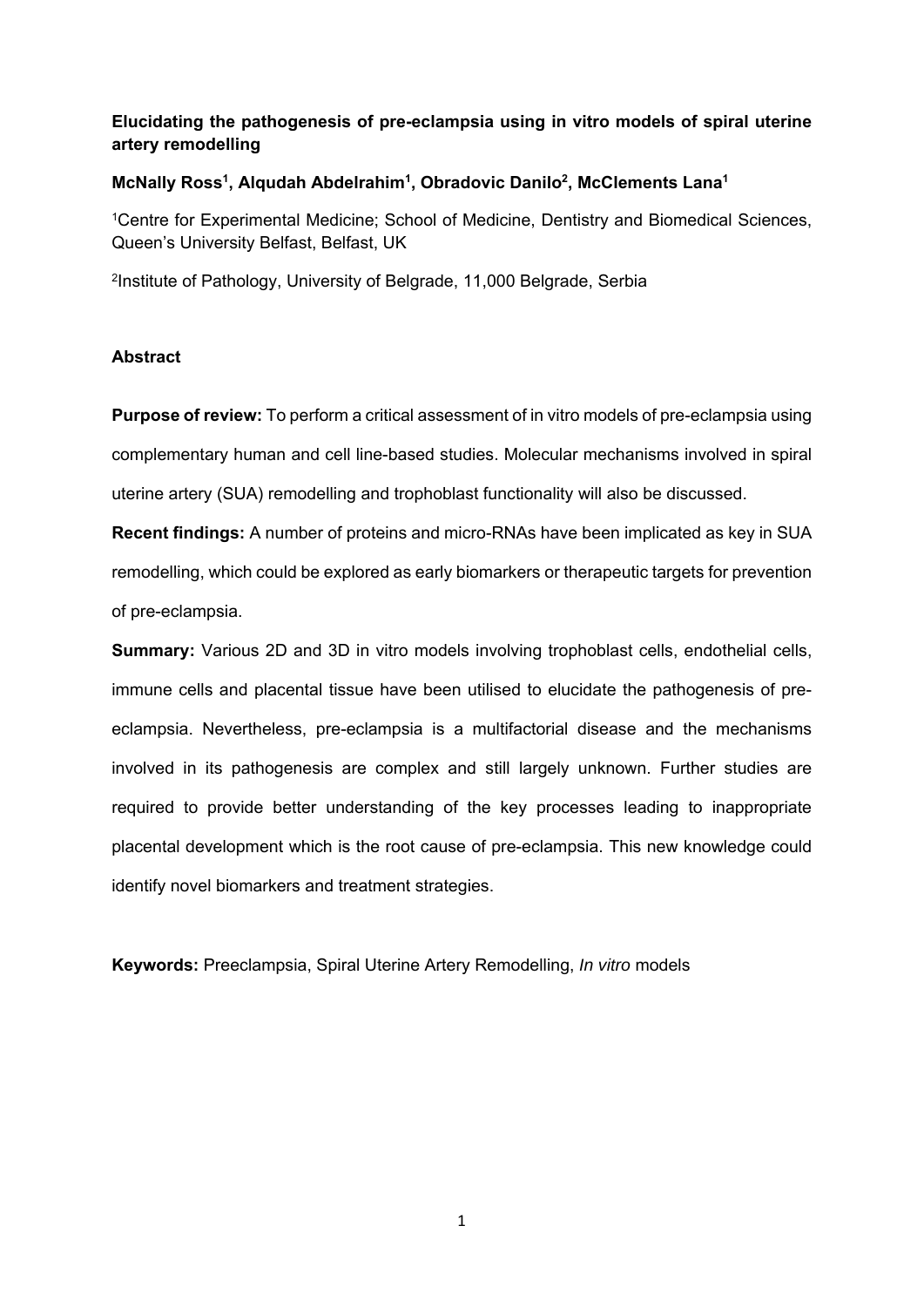# **Elucidating the pathogenesis of pre-eclampsia using in vitro models of spiral uterine artery remodelling**

# McNally Ross<sup>1</sup>, Alqudah Abdelrahim<sup>1</sup>, Obradovic Danilo<sup>2</sup>, McClements Lana<sup>1</sup>

<sup>1</sup>Centre for Experimental Medicine; School of Medicine, Dentistry and Biomedical Sciences, Queen's University Belfast, Belfast, UK

2Institute of Pathology, University of Belgrade, 11,000 Belgrade, Serbia

# **Abstract**

**Purpose of review:** To perform a critical assessment of in vitro models of pre-eclampsia using complementary human and cell line-based studies. Molecular mechanisms involved in spiral uterine artery (SUA) remodelling and trophoblast functionality will also be discussed.

**Recent findings:** A number of proteins and micro-RNAs have been implicated as key in SUA remodelling, which could be explored as early biomarkers or therapeutic targets for prevention of pre-eclampsia.

**Summary:** Various 2D and 3D in vitro models involving trophoblast cells, endothelial cells, immune cells and placental tissue have been utilised to elucidate the pathogenesis of preeclampsia. Nevertheless, pre-eclampsia is a multifactorial disease and the mechanisms involved in its pathogenesis are complex and still largely unknown. Further studies are required to provide better understanding of the key processes leading to inappropriate placental development which is the root cause of pre-eclampsia. This new knowledge could identify novel biomarkers and treatment strategies.

**Keywords:** Preeclampsia, Spiral Uterine Artery Remodelling, *In vitro* models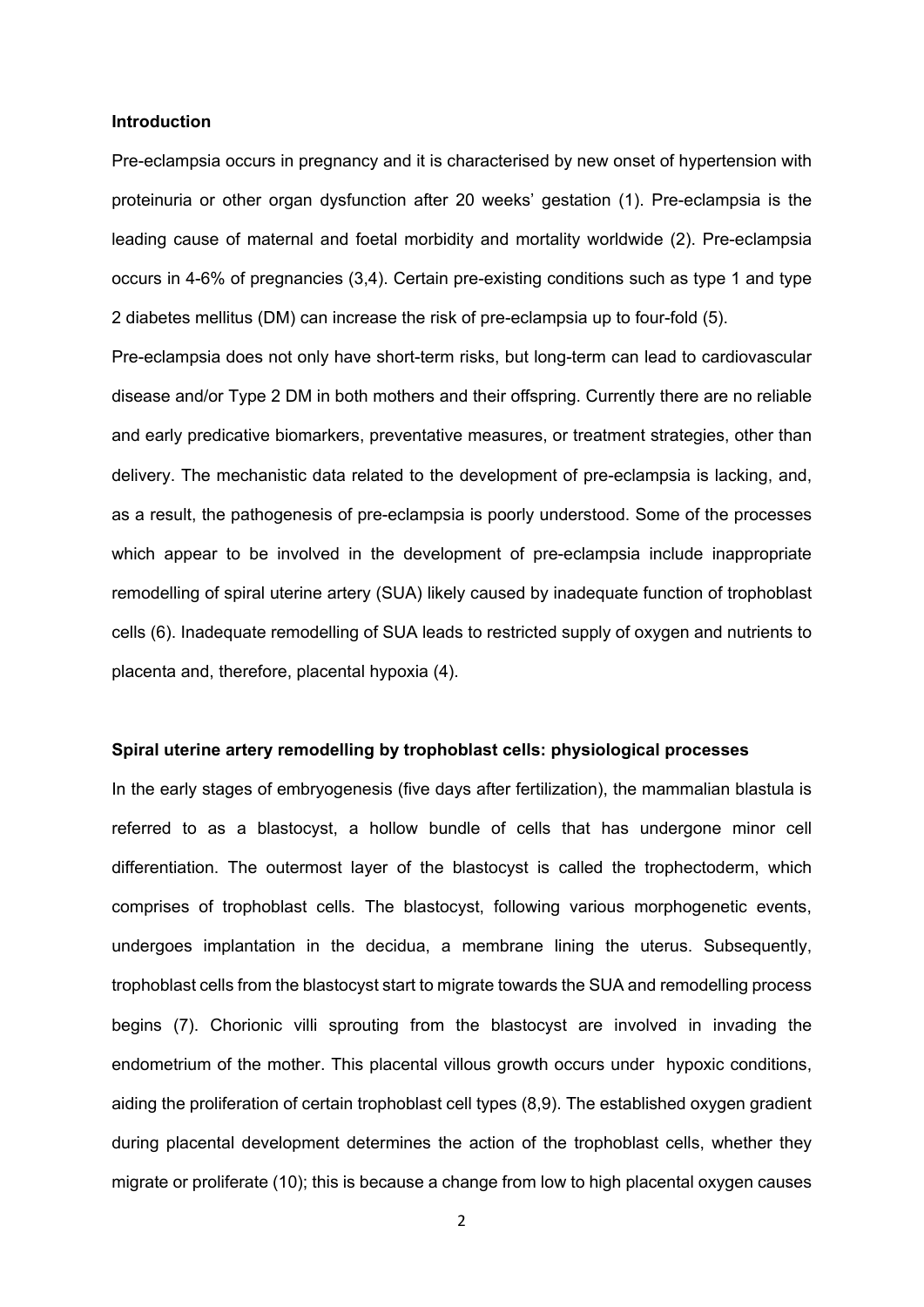#### **Introduction**

Pre-eclampsia occurs in pregnancy and it is characterised by new onset of hypertension with proteinuria or other organ dysfunction after 20 weeks' gestation (1). Pre-eclampsia is the leading cause of maternal and foetal morbidity and mortality worldwide (2). Pre-eclampsia occurs in 4-6% of pregnancies (3,4). Certain pre-existing conditions such as type 1 and type 2 diabetes mellitus (DM) can increase the risk of pre-eclampsia up to four-fold (5).

Pre-eclampsia does not only have short-term risks, but long-term can lead to cardiovascular disease and/or Type 2 DM in both mothers and their offspring. Currently there are no reliable and early predicative biomarkers, preventative measures, or treatment strategies, other than delivery. The mechanistic data related to the development of pre-eclampsia is lacking, and, as a result, the pathogenesis of pre-eclampsia is poorly understood. Some of the processes which appear to be involved in the development of pre-eclampsia include inappropriate remodelling of spiral uterine artery (SUA) likely caused by inadequate function of trophoblast cells (6). Inadequate remodelling of SUA leads to restricted supply of oxygen and nutrients to placenta and, therefore, placental hypoxia (4).

### **Spiral uterine artery remodelling by trophoblast cells: physiological processes**

In the early stages of embryogenesis (five days after fertilization), the mammalian blastula is referred to as a blastocyst, a hollow bundle of cells that has undergone minor cell differentiation. The outermost layer of the blastocyst is called the trophectoderm, which comprises of trophoblast cells. The blastocyst, following various morphogenetic events, undergoes implantation in the decidua, a membrane lining the uterus. Subsequently, trophoblast cells from the blastocyst start to migrate towards the SUA and remodelling process begins (7). Chorionic villi sprouting from the blastocyst are involved in invading the endometrium of the mother. This placental villous growth occurs under hypoxic conditions, aiding the proliferation of certain trophoblast cell types (8,9). The established oxygen gradient during placental development determines the action of the trophoblast cells, whether they migrate or proliferate (10); this is because a change from low to high placental oxygen causes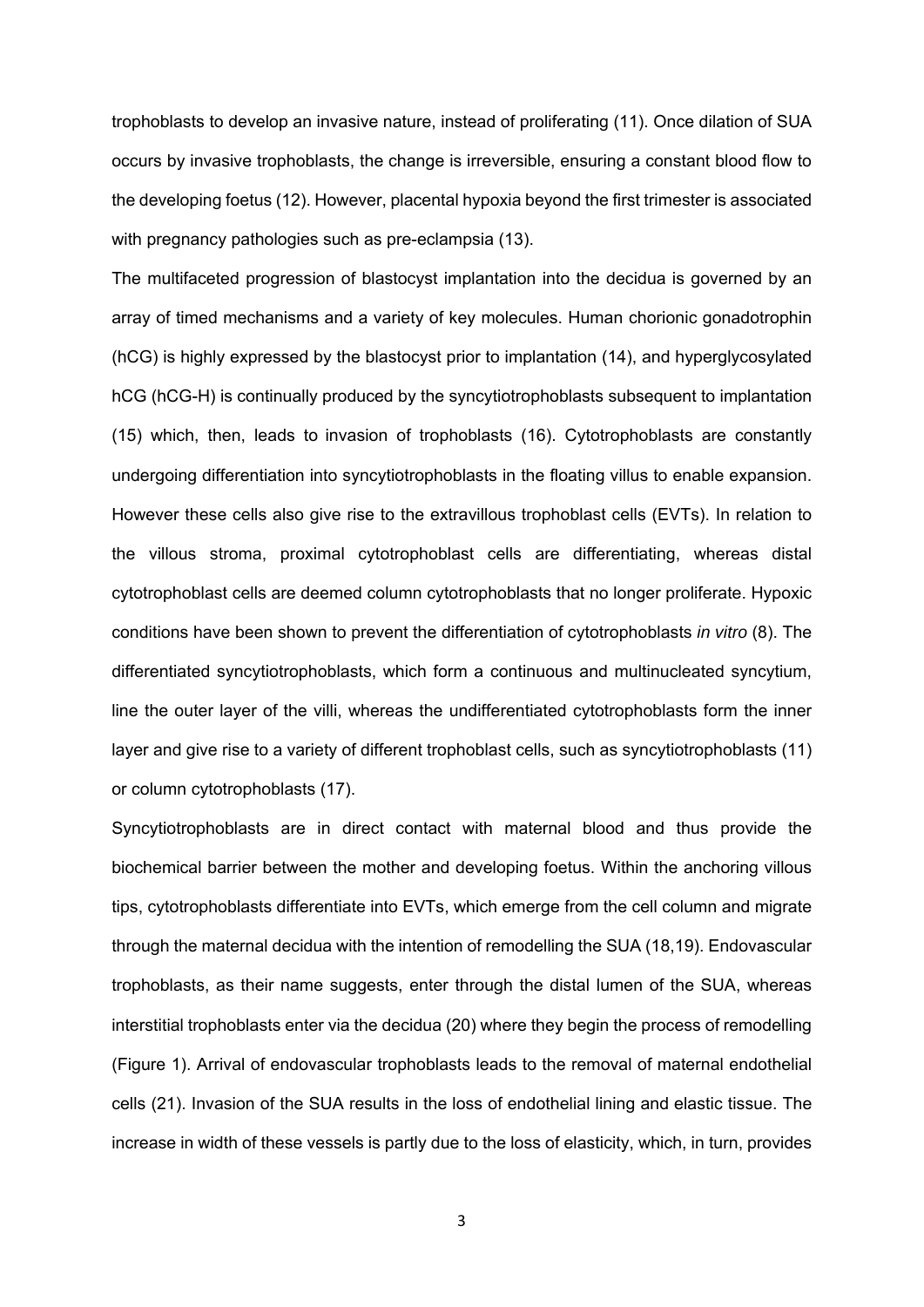trophoblasts to develop an invasive nature, instead of proliferating (11). Once dilation of SUA occurs by invasive trophoblasts, the change is irreversible, ensuring a constant blood flow to the developing foetus (12). However, placental hypoxia beyond the first trimester is associated with pregnancy pathologies such as pre-eclampsia (13).

The multifaceted progression of blastocyst implantation into the decidua is governed by an array of timed mechanisms and a variety of key molecules. Human chorionic gonadotrophin (hCG) is highly expressed by the blastocyst prior to implantation (14), and hyperglycosylated hCG (hCG-H) is continually produced by the syncytiotrophoblasts subsequent to implantation (15) which, then, leads to invasion of trophoblasts (16). Cytotrophoblasts are constantly undergoing differentiation into syncytiotrophoblasts in the floating villus to enable expansion. However these cells also give rise to the extravillous trophoblast cells (EVTs). In relation to the villous stroma, proximal cytotrophoblast cells are differentiating, whereas distal cytotrophoblast cells are deemed column cytotrophoblasts that no longer proliferate. Hypoxic conditions have been shown to prevent the differentiation of cytotrophoblasts *in vitro* (8). The differentiated syncytiotrophoblasts, which form a continuous and multinucleated syncytium, line the outer layer of the villi, whereas the undifferentiated cytotrophoblasts form the inner layer and give rise to a variety of different trophoblast cells, such as syncytiotrophoblasts (11) or column cytotrophoblasts (17).

Syncytiotrophoblasts are in direct contact with maternal blood and thus provide the biochemical barrier between the mother and developing foetus. Within the anchoring villous tips, cytotrophoblasts differentiate into EVTs, which emerge from the cell column and migrate through the maternal decidua with the intention of remodelling the SUA (18,19). Endovascular trophoblasts, as their name suggests, enter through the distal lumen of the SUA, whereas interstitial trophoblasts enter via the decidua (20) where they begin the process of remodelling (Figure 1). Arrival of endovascular trophoblasts leads to the removal of maternal endothelial cells (21). Invasion of the SUA results in the loss of endothelial lining and elastic tissue. The increase in width of these vessels is partly due to the loss of elasticity, which, in turn, provides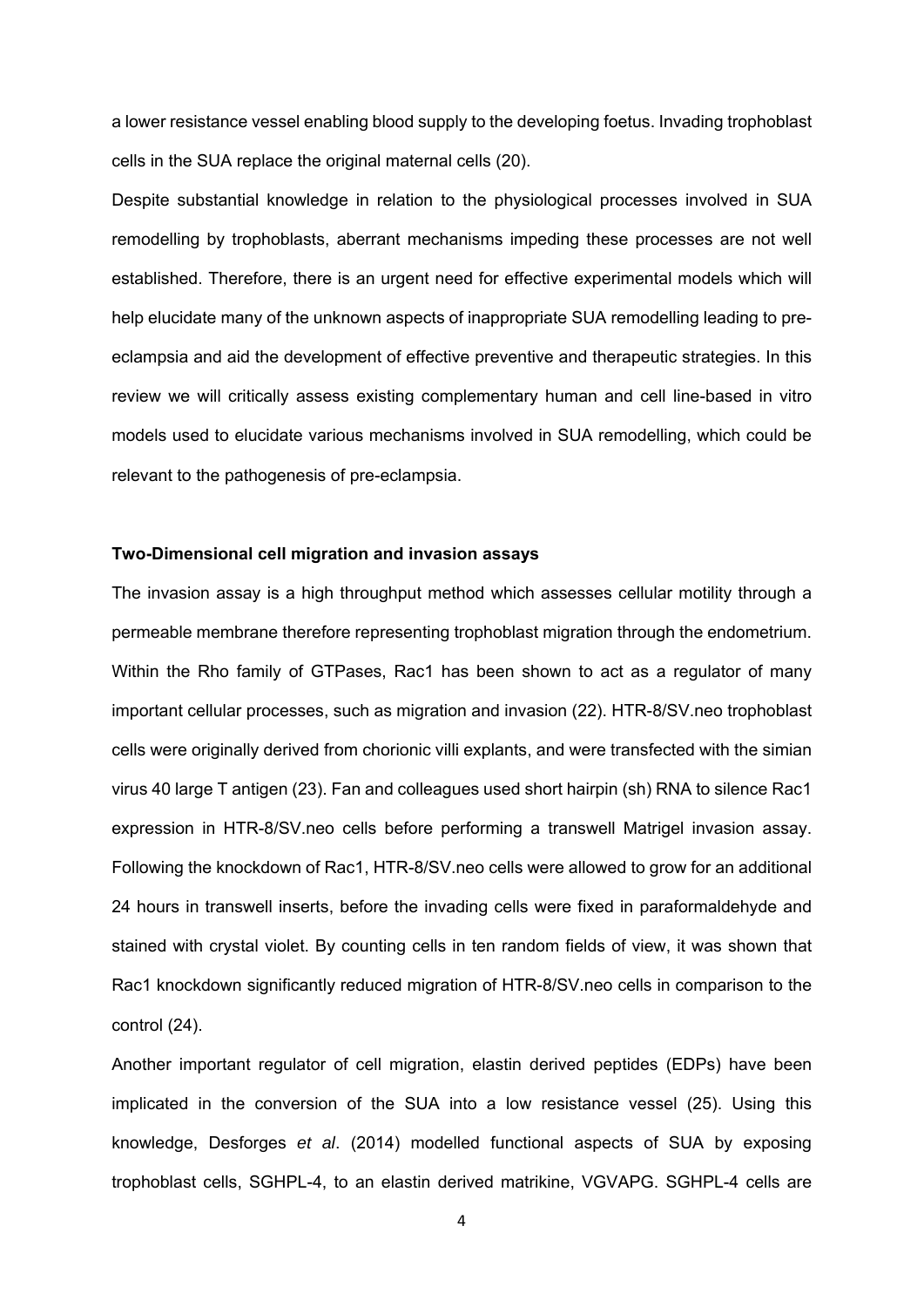a lower resistance vessel enabling blood supply to the developing foetus. Invading trophoblast cells in the SUA replace the original maternal cells (20).

Despite substantial knowledge in relation to the physiological processes involved in SUA remodelling by trophoblasts, aberrant mechanisms impeding these processes are not well established. Therefore, there is an urgent need for effective experimental models which will help elucidate many of the unknown aspects of inappropriate SUA remodelling leading to preeclampsia and aid the development of effective preventive and therapeutic strategies. In this review we will critically assess existing complementary human and cell line-based in vitro models used to elucidate various mechanisms involved in SUA remodelling, which could be relevant to the pathogenesis of pre-eclampsia.

### **Two-Dimensional cell migration and invasion assays**

The invasion assay is a high throughput method which assesses cellular motility through a permeable membrane therefore representing trophoblast migration through the endometrium. Within the Rho family of GTPases, Rac1 has been shown to act as a regulator of many important cellular processes, such as migration and invasion (22). HTR-8/SV.neo trophoblast cells were originally derived from chorionic villi explants, and were transfected with the simian virus 40 large T antigen (23). Fan and colleagues used short hairpin (sh) RNA to silence Rac1 expression in HTR-8/SV.neo cells before performing a transwell Matrigel invasion assay. Following the knockdown of Rac1, HTR-8/SV.neo cells were allowed to grow for an additional 24 hours in transwell inserts, before the invading cells were fixed in paraformaldehyde and stained with crystal violet. By counting cells in ten random fields of view, it was shown that Rac1 knockdown significantly reduced migration of HTR-8/SV.neo cells in comparison to the control (24).

Another important regulator of cell migration, elastin derived peptides (EDPs) have been implicated in the conversion of the SUA into a low resistance vessel (25). Using this knowledge, Desforges *et al*. (2014) modelled functional aspects of SUA by exposing trophoblast cells, SGHPL-4, to an elastin derived matrikine, VGVAPG. SGHPL-4 cells are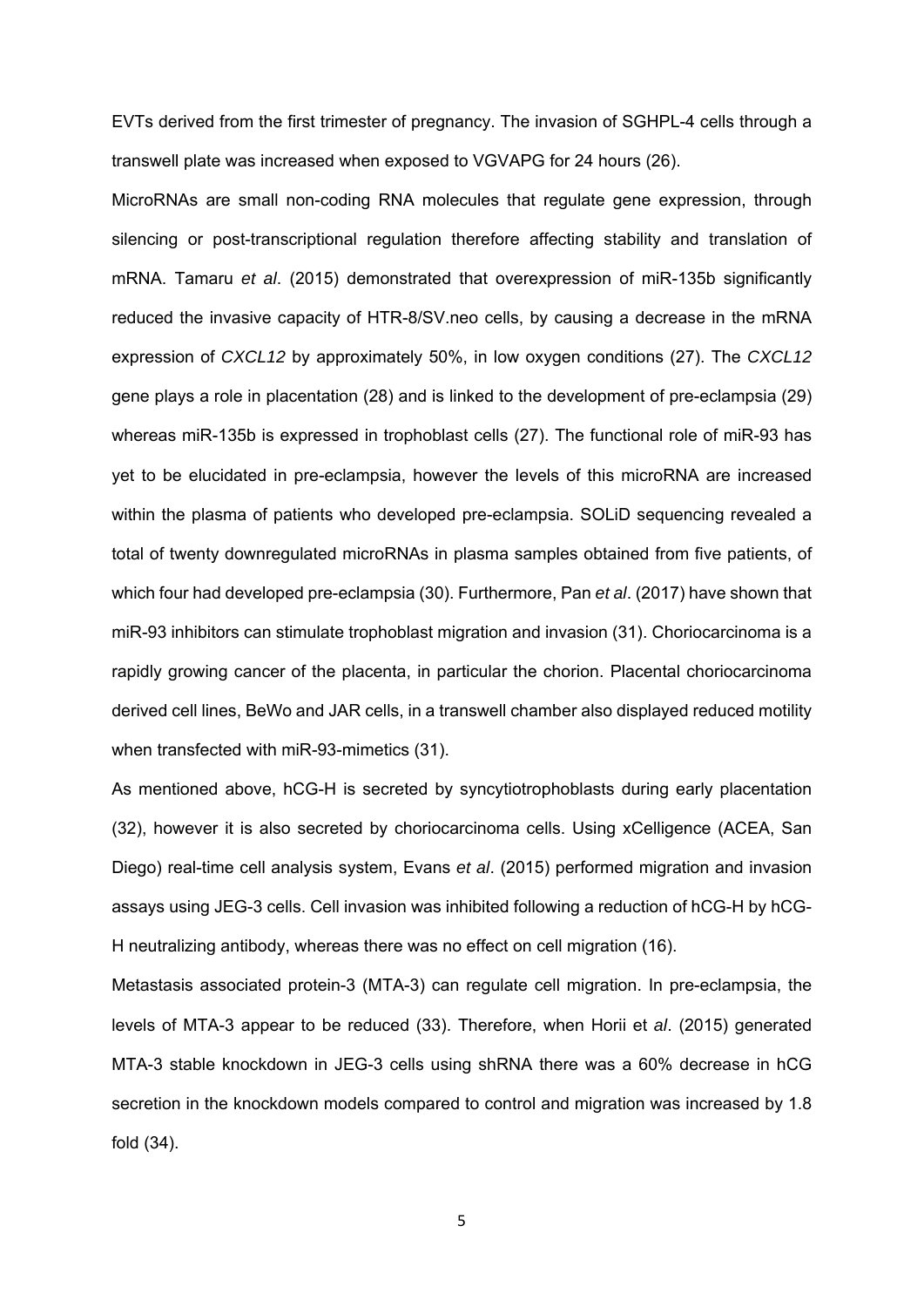EVTs derived from the first trimester of pregnancy. The invasion of SGHPL-4 cells through a transwell plate was increased when exposed to VGVAPG for 24 hours (26).

MicroRNAs are small non-coding RNA molecules that regulate gene expression, through silencing or post-transcriptional regulation therefore affecting stability and translation of mRNA. Tamaru *et al*. (2015) demonstrated that overexpression of miR-135b significantly reduced the invasive capacity of HTR-8/SV.neo cells, by causing a decrease in the mRNA expression of *CXCL12* by approximately 50%, in low oxygen conditions (27). The *CXCL12*  gene plays a role in placentation (28) and is linked to the development of pre-eclampsia (29) whereas miR-135b is expressed in trophoblast cells (27). The functional role of miR-93 has yet to be elucidated in pre-eclampsia, however the levels of this microRNA are increased within the plasma of patients who developed pre-eclampsia. SOLiD sequencing revealed a total of twenty downregulated microRNAs in plasma samples obtained from five patients, of which four had developed pre-eclampsia (30). Furthermore, Pan *et al*. (2017) have shown that miR-93 inhibitors can stimulate trophoblast migration and invasion (31). Choriocarcinoma is a rapidly growing cancer of the placenta, in particular the chorion. Placental choriocarcinoma derived cell lines, BeWo and JAR cells, in a transwell chamber also displayed reduced motility when transfected with miR-93-mimetics (31).

As mentioned above, hCG-H is secreted by syncytiotrophoblasts during early placentation (32), however it is also secreted by choriocarcinoma cells. Using xCelligence (ACEA, San Diego) real-time cell analysis system, Evans *et al*. (2015) performed migration and invasion assays using JEG-3 cells. Cell invasion was inhibited following a reduction of hCG-H by hCG-H neutralizing antibody, whereas there was no effect on cell migration (16).

Metastasis associated protein-3 (MTA-3) can regulate cell migration. In pre-eclampsia, the levels of MTA-3 appear to be reduced (33). Therefore, when Horii et *al*. (2015) generated MTA-3 stable knockdown in JEG-3 cells using shRNA there was a 60% decrease in hCG secretion in the knockdown models compared to control and migration was increased by 1.8 fold (34).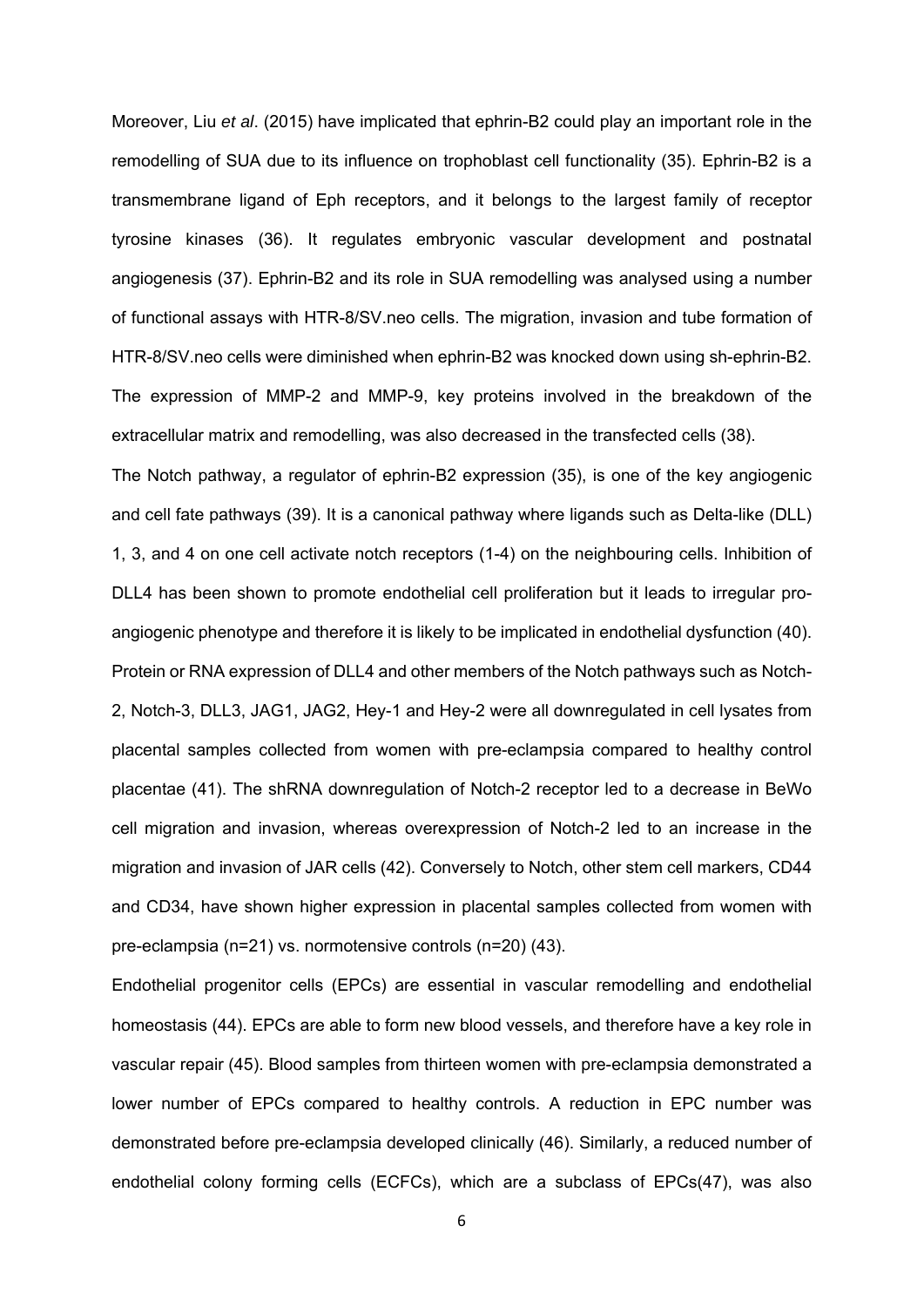Moreover, Liu *et al*. (2015) have implicated that ephrin-B2 could play an important role in the remodelling of SUA due to its influence on trophoblast cell functionality (35). Ephrin-B2 is a transmembrane ligand of Eph receptors, and it belongs to the largest family of receptor tyrosine kinases (36). It regulates embryonic vascular development and postnatal angiogenesis (37). Ephrin-B2 and its role in SUA remodelling was analysed using a number of functional assays with HTR-8/SV.neo cells. The migration, invasion and tube formation of HTR-8/SV.neo cells were diminished when ephrin-B2 was knocked down using sh-ephrin-B2. The expression of MMP-2 and MMP-9, key proteins involved in the breakdown of the extracellular matrix and remodelling, was also decreased in the transfected cells (38).

The Notch pathway, a regulator of ephrin-B2 expression (35), is one of the key angiogenic and cell fate pathways (39). It is a canonical pathway where ligands such as Delta-like (DLL) 1, 3, and 4 on one cell activate notch receptors (1-4) on the neighbouring cells. Inhibition of DLL4 has been shown to promote endothelial cell proliferation but it leads to irregular proangiogenic phenotype and therefore it is likely to be implicated in endothelial dysfunction (40). Protein or RNA expression of DLL4 and other members of the Notch pathways such as Notch-2, Notch-3, DLL3, JAG1, JAG2, Hey-1 and Hey-2 were all downregulated in cell lysates from placental samples collected from women with pre-eclampsia compared to healthy control placentae (41). The shRNA downregulation of Notch-2 receptor led to a decrease in BeWo cell migration and invasion, whereas overexpression of Notch-2 led to an increase in the migration and invasion of JAR cells (42). Conversely to Notch, other stem cell markers, CD44 and CD34, have shown higher expression in placental samples collected from women with pre-eclampsia (n=21) vs. normotensive controls (n=20) (43).

Endothelial progenitor cells (EPCs) are essential in vascular remodelling and endothelial homeostasis (44). EPCs are able to form new blood vessels, and therefore have a key role in vascular repair (45). Blood samples from thirteen women with pre-eclampsia demonstrated a lower number of EPCs compared to healthy controls. A reduction in EPC number was demonstrated before pre-eclampsia developed clinically (46). Similarly, a reduced number of endothelial colony forming cells (ECFCs), which are a subclass of EPCs(47), was also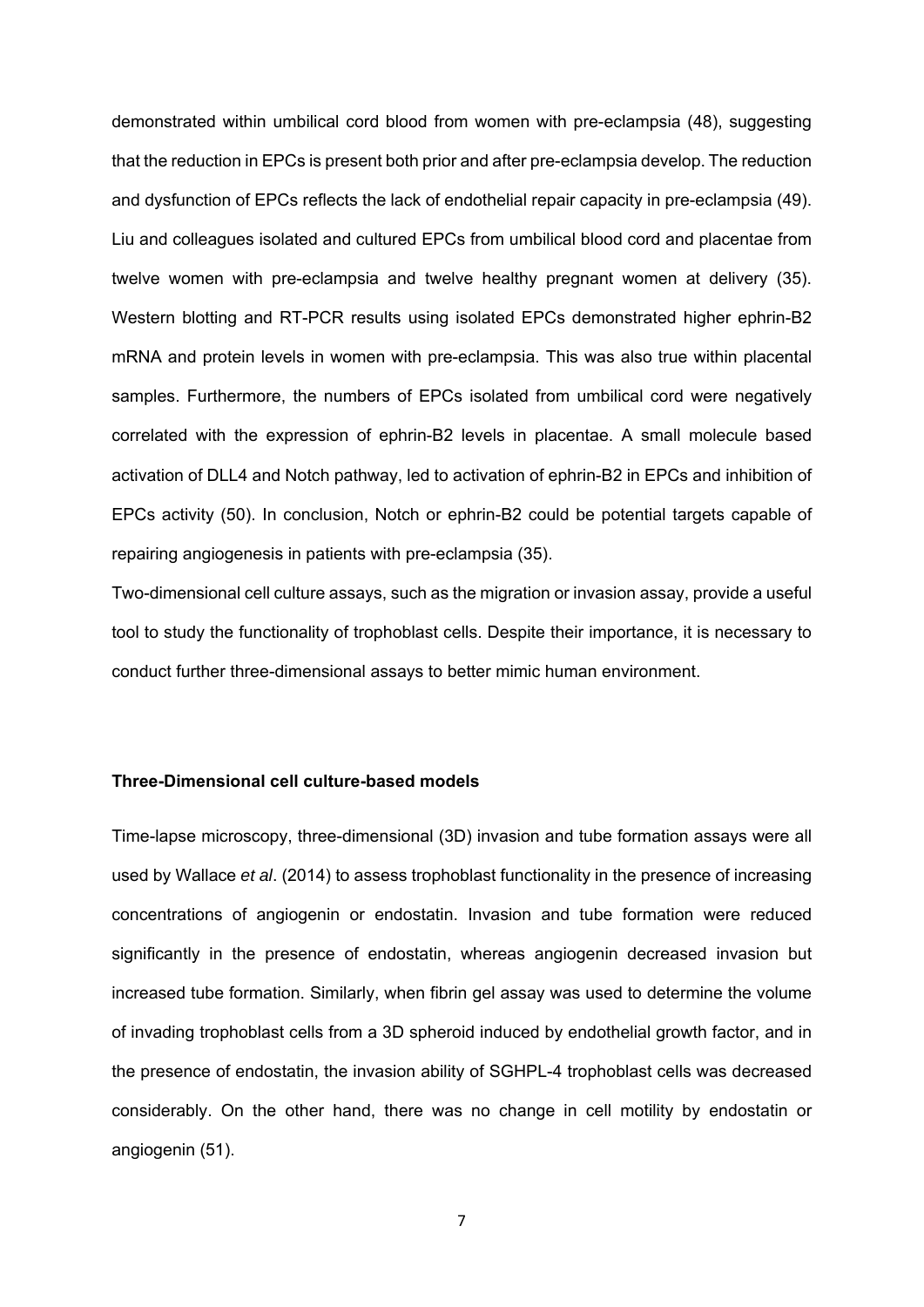demonstrated within umbilical cord blood from women with pre-eclampsia (48), suggesting that the reduction in EPCs is present both prior and after pre-eclampsia develop. The reduction and dysfunction of EPCs reflects the lack of endothelial repair capacity in pre-eclampsia (49). Liu and colleagues isolated and cultured EPCs from umbilical blood cord and placentae from twelve women with pre-eclampsia and twelve healthy pregnant women at delivery (35). Western blotting and RT-PCR results using isolated EPCs demonstrated higher ephrin-B2 mRNA and protein levels in women with pre-eclampsia. This was also true within placental samples. Furthermore, the numbers of EPCs isolated from umbilical cord were negatively correlated with the expression of ephrin-B2 levels in placentae. A small molecule based activation of DLL4 and Notch pathway, led to activation of ephrin-B2 in EPCs and inhibition of EPCs activity (50). In conclusion, Notch or ephrin-B2 could be potential targets capable of repairing angiogenesis in patients with pre-eclampsia (35).

Two-dimensional cell culture assays, such as the migration or invasion assay, provide a useful tool to study the functionality of trophoblast cells. Despite their importance, it is necessary to conduct further three-dimensional assays to better mimic human environment.

## **Three-Dimensional cell culture-based models**

Time-lapse microscopy, three-dimensional (3D) invasion and tube formation assays were all used by Wallace *et al*. (2014) to assess trophoblast functionality in the presence of increasing concentrations of angiogenin or endostatin. Invasion and tube formation were reduced significantly in the presence of endostatin, whereas angiogenin decreased invasion but increased tube formation. Similarly, when fibrin gel assay was used to determine the volume of invading trophoblast cells from a 3D spheroid induced by endothelial growth factor, and in the presence of endostatin, the invasion ability of SGHPL-4 trophoblast cells was decreased considerably. On the other hand, there was no change in cell motility by endostatin or angiogenin (51).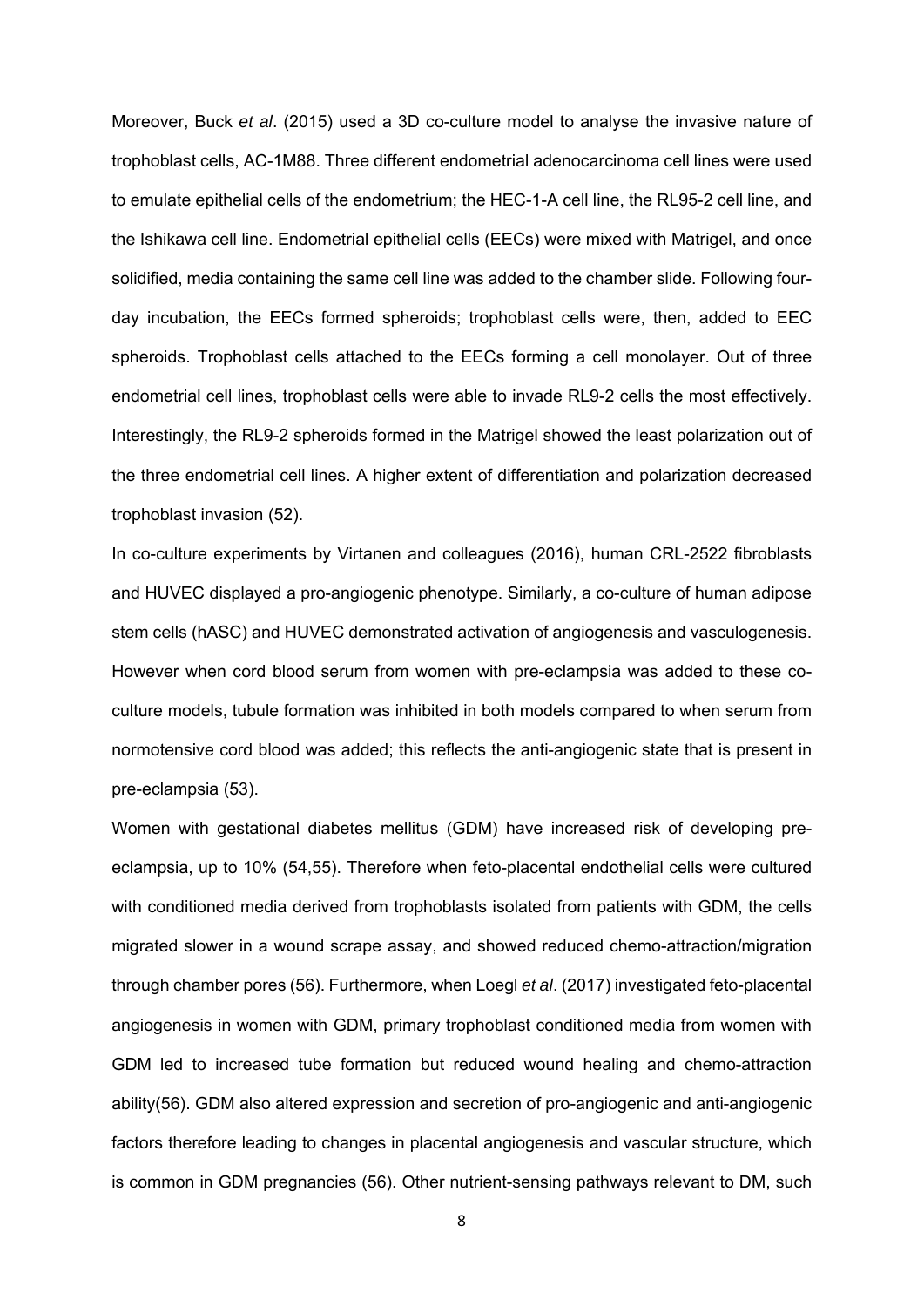Moreover, Buck *et al*. (2015) used a 3D co-culture model to analyse the invasive nature of trophoblast cells, AC-1M88. Three different endometrial adenocarcinoma cell lines were used to emulate epithelial cells of the endometrium; the HEC-1-A cell line, the RL95-2 cell line, and the Ishikawa cell line. Endometrial epithelial cells (EECs) were mixed with Matrigel, and once solidified, media containing the same cell line was added to the chamber slide. Following fourday incubation, the EECs formed spheroids; trophoblast cells were, then, added to EEC spheroids. Trophoblast cells attached to the EECs forming a cell monolayer. Out of three endometrial cell lines, trophoblast cells were able to invade RL9-2 cells the most effectively. Interestingly, the RL9-2 spheroids formed in the Matrigel showed the least polarization out of the three endometrial cell lines. A higher extent of differentiation and polarization decreased trophoblast invasion (52).

In co-culture experiments by Virtanen and colleagues (2016), human CRL-2522 fibroblasts and HUVEC displayed a pro-angiogenic phenotype. Similarly, a co-culture of human adipose stem cells (hASC) and HUVEC demonstrated activation of angiogenesis and vasculogenesis. However when cord blood serum from women with pre-eclampsia was added to these coculture models, tubule formation was inhibited in both models compared to when serum from normotensive cord blood was added; this reflects the anti-angiogenic state that is present in pre-eclampsia (53).

Women with gestational diabetes mellitus (GDM) have increased risk of developing preeclampsia, up to 10% (54,55). Therefore when feto-placental endothelial cells were cultured with conditioned media derived from trophoblasts isolated from patients with GDM, the cells migrated slower in a wound scrape assay, and showed reduced chemo-attraction/migration through chamber pores (56). Furthermore, when Loegl *et al*. (2017) investigated feto-placental angiogenesis in women with GDM, primary trophoblast conditioned media from women with GDM led to increased tube formation but reduced wound healing and chemo-attraction ability(56). GDM also altered expression and secretion of pro-angiogenic and anti-angiogenic factors therefore leading to changes in placental angiogenesis and vascular structure, which is common in GDM pregnancies (56). Other nutrient-sensing pathways relevant to DM, such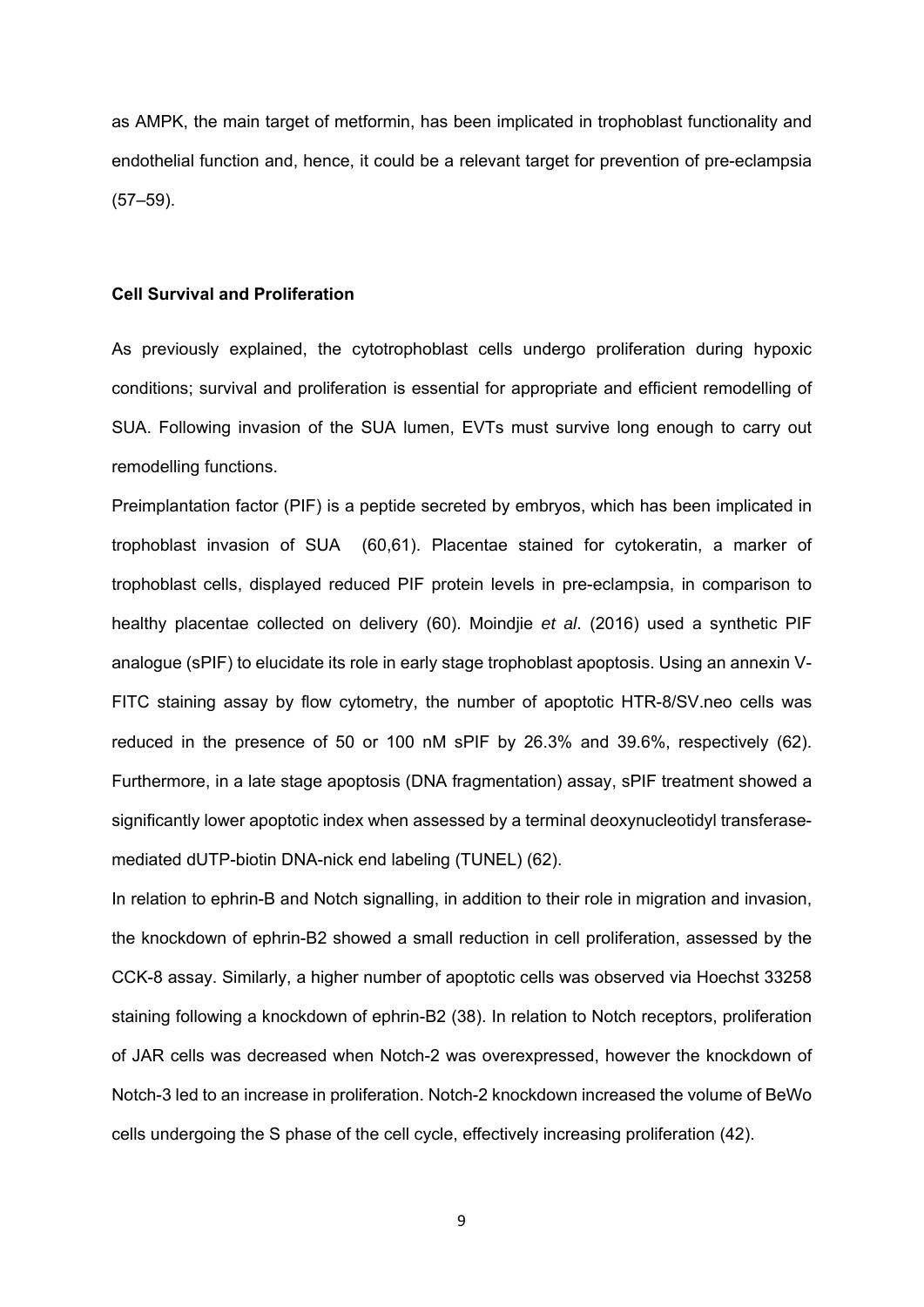as AMPK, the main target of metformin, has been implicated in trophoblast functionality and endothelial function and, hence, it could be a relevant target for prevention of pre-eclampsia (57–59).

#### **Cell Survival and Proliferation**

As previously explained, the cytotrophoblast cells undergo proliferation during hypoxic conditions; survival and proliferation is essential for appropriate and efficient remodelling of SUA. Following invasion of the SUA lumen, EVTs must survive long enough to carry out remodelling functions.

Preimplantation factor (PIF) is a peptide secreted by embryos, which has been implicated in trophoblast invasion of SUA (60,61). Placentae stained for cytokeratin, a marker of trophoblast cells, displayed reduced PIF protein levels in pre-eclampsia, in comparison to healthy placentae collected on delivery (60). Moindjie *et al*. (2016) used a synthetic PIF analogue (sPIF) to elucidate its role in early stage trophoblast apoptosis. Using an annexin V-FITC staining assay by flow cytometry, the number of apoptotic HTR-8/SV.neo cells was reduced in the presence of 50 or 100 nM sPIF by 26.3% and 39.6%, respectively (62). Furthermore, in a late stage apoptosis (DNA fragmentation) assay, sPIF treatment showed a significantly lower apoptotic index when assessed by a terminal deoxynucleotidyl transferasemediated dUTP-biotin DNA-nick end labeling (TUNEL) (62).

In relation to ephrin-B and Notch signalling, in addition to their role in migration and invasion, the knockdown of ephrin-B2 showed a small reduction in cell proliferation, assessed by the CCK-8 assay. Similarly, a higher number of apoptotic cells was observed via Hoechst 33258 staining following a knockdown of ephrin-B2 (38). In relation to Notch receptors, proliferation of JAR cells was decreased when Notch-2 was overexpressed, however the knockdown of Notch-3 led to an increase in proliferation. Notch-2 knockdown increased the volume of BeWo cells undergoing the S phase of the cell cycle, effectively increasing proliferation (42).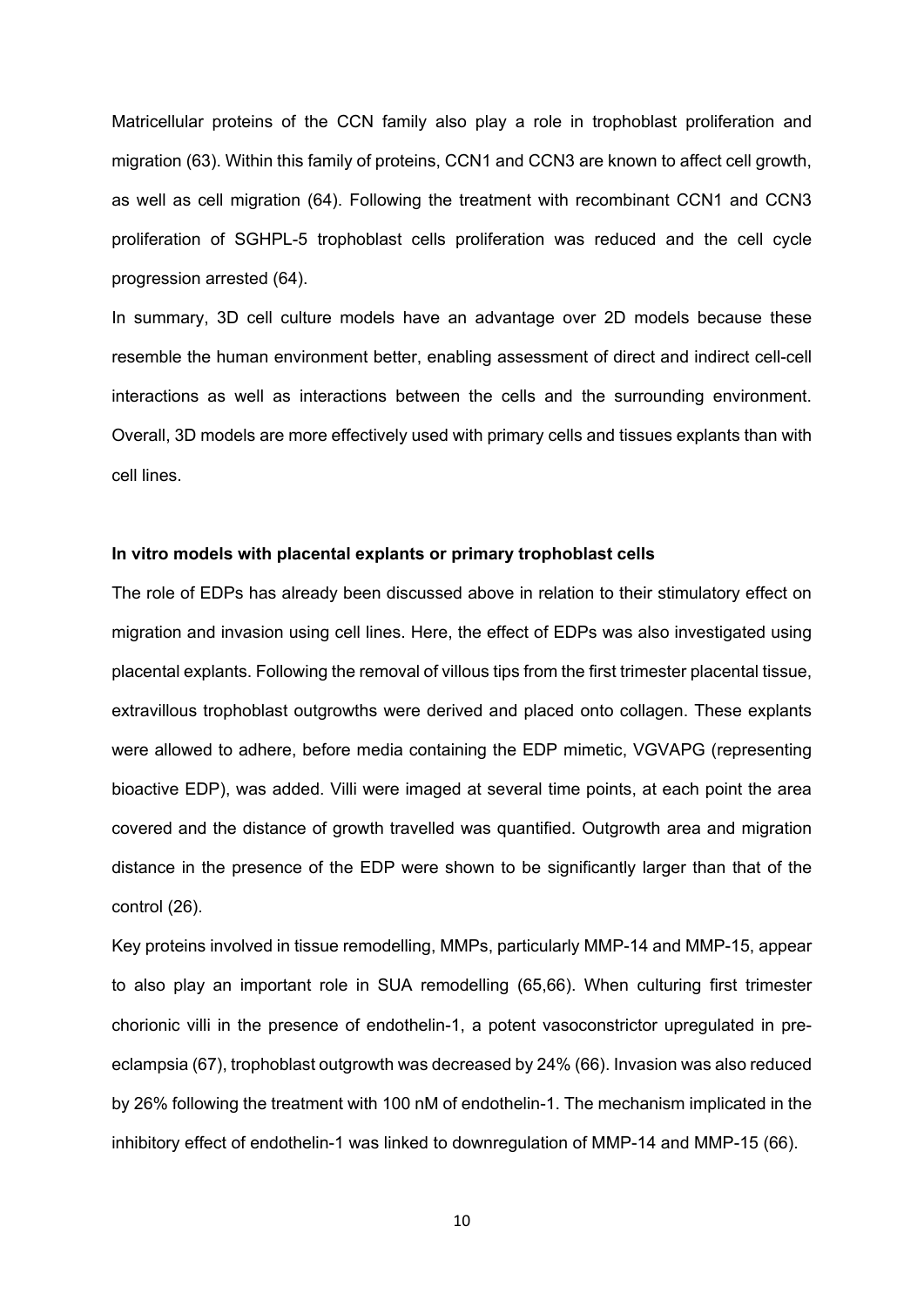Matricellular proteins of the CCN family also play a role in trophoblast proliferation and migration (63). Within this family of proteins, CCN1 and CCN3 are known to affect cell growth, as well as cell migration (64). Following the treatment with recombinant CCN1 and CCN3 proliferation of SGHPL-5 trophoblast cells proliferation was reduced and the cell cycle progression arrested (64).

In summary, 3D cell culture models have an advantage over 2D models because these resemble the human environment better, enabling assessment of direct and indirect cell-cell interactions as well as interactions between the cells and the surrounding environment. Overall, 3D models are more effectively used with primary cells and tissues explants than with cell lines.

### **In vitro models with placental explants or primary trophoblast cells**

The role of EDPs has already been discussed above in relation to their stimulatory effect on migration and invasion using cell lines. Here, the effect of EDPs was also investigated using placental explants. Following the removal of villous tips from the first trimester placental tissue, extravillous trophoblast outgrowths were derived and placed onto collagen. These explants were allowed to adhere, before media containing the EDP mimetic, VGVAPG (representing bioactive EDP), was added. Villi were imaged at several time points, at each point the area covered and the distance of growth travelled was quantified. Outgrowth area and migration distance in the presence of the EDP were shown to be significantly larger than that of the control (26).

Key proteins involved in tissue remodelling, MMPs, particularly MMP-14 and MMP-15, appear to also play an important role in SUA remodelling (65,66). When culturing first trimester chorionic villi in the presence of endothelin-1, a potent vasoconstrictor upregulated in preeclampsia (67), trophoblast outgrowth was decreased by 24% (66). Invasion was also reduced by 26% following the treatment with 100 nM of endothelin-1. The mechanism implicated in the inhibitory effect of endothelin-1 was linked to downregulation of MMP-14 and MMP-15 (66).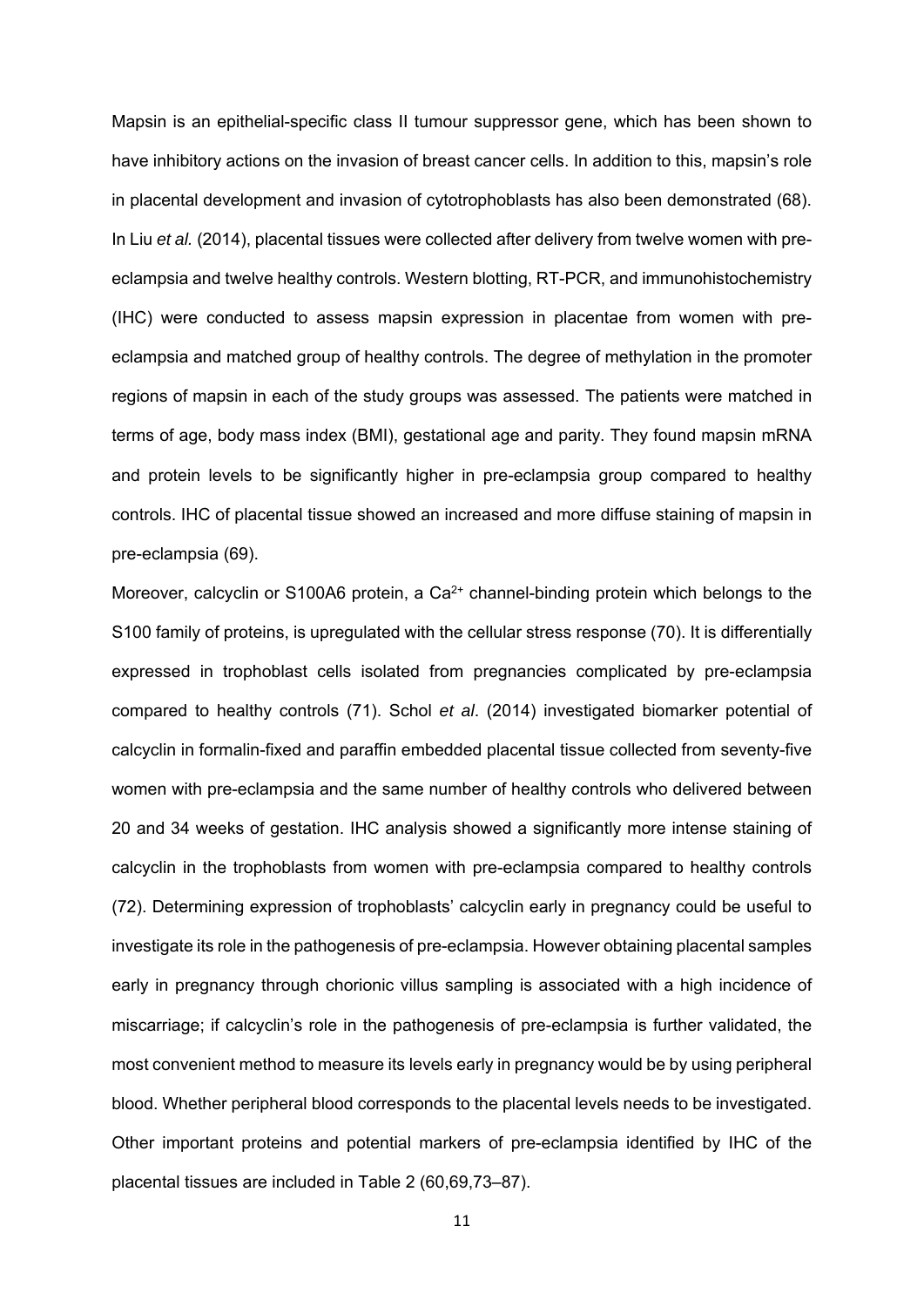Mapsin is an epithelial-specific class II tumour suppressor gene, which has been shown to have inhibitory actions on the invasion of breast cancer cells. In addition to this, mapsin's role in placental development and invasion of cytotrophoblasts has also been demonstrated (68). In Liu *et al.* (2014), placental tissues were collected after delivery from twelve women with preeclampsia and twelve healthy controls. Western blotting, RT-PCR, and immunohistochemistry (IHC) were conducted to assess mapsin expression in placentae from women with preeclampsia and matched group of healthy controls. The degree of methylation in the promoter regions of mapsin in each of the study groups was assessed. The patients were matched in terms of age, body mass index (BMI), gestational age and parity. They found mapsin mRNA and protein levels to be significantly higher in pre-eclampsia group compared to healthy controls. IHC of placental tissue showed an increased and more diffuse staining of mapsin in pre-eclampsia (69).

Moreover, calcyclin or S100A6 protein, a Ca<sup>2+</sup> channel-binding protein which belongs to the S100 family of proteins, is upregulated with the cellular stress response (70). It is differentially expressed in trophoblast cells isolated from pregnancies complicated by pre-eclampsia compared to healthy controls (71). Schol *et al*. (2014) investigated biomarker potential of calcyclin in formalin-fixed and paraffin embedded placental tissue collected from seventy-five women with pre-eclampsia and the same number of healthy controls who delivered between 20 and 34 weeks of gestation. IHC analysis showed a significantly more intense staining of calcyclin in the trophoblasts from women with pre-eclampsia compared to healthy controls (72). Determining expression of trophoblasts' calcyclin early in pregnancy could be useful to investigate its role in the pathogenesis of pre-eclampsia. However obtaining placental samples early in pregnancy through chorionic villus sampling is associated with a high incidence of miscarriage; if calcyclin's role in the pathogenesis of pre-eclampsia is further validated, the most convenient method to measure its levels early in pregnancy would be by using peripheral blood. Whether peripheral blood corresponds to the placental levels needs to be investigated. Other important proteins and potential markers of pre-eclampsia identified by IHC of the placental tissues are included in Table 2 (60,69,73–87).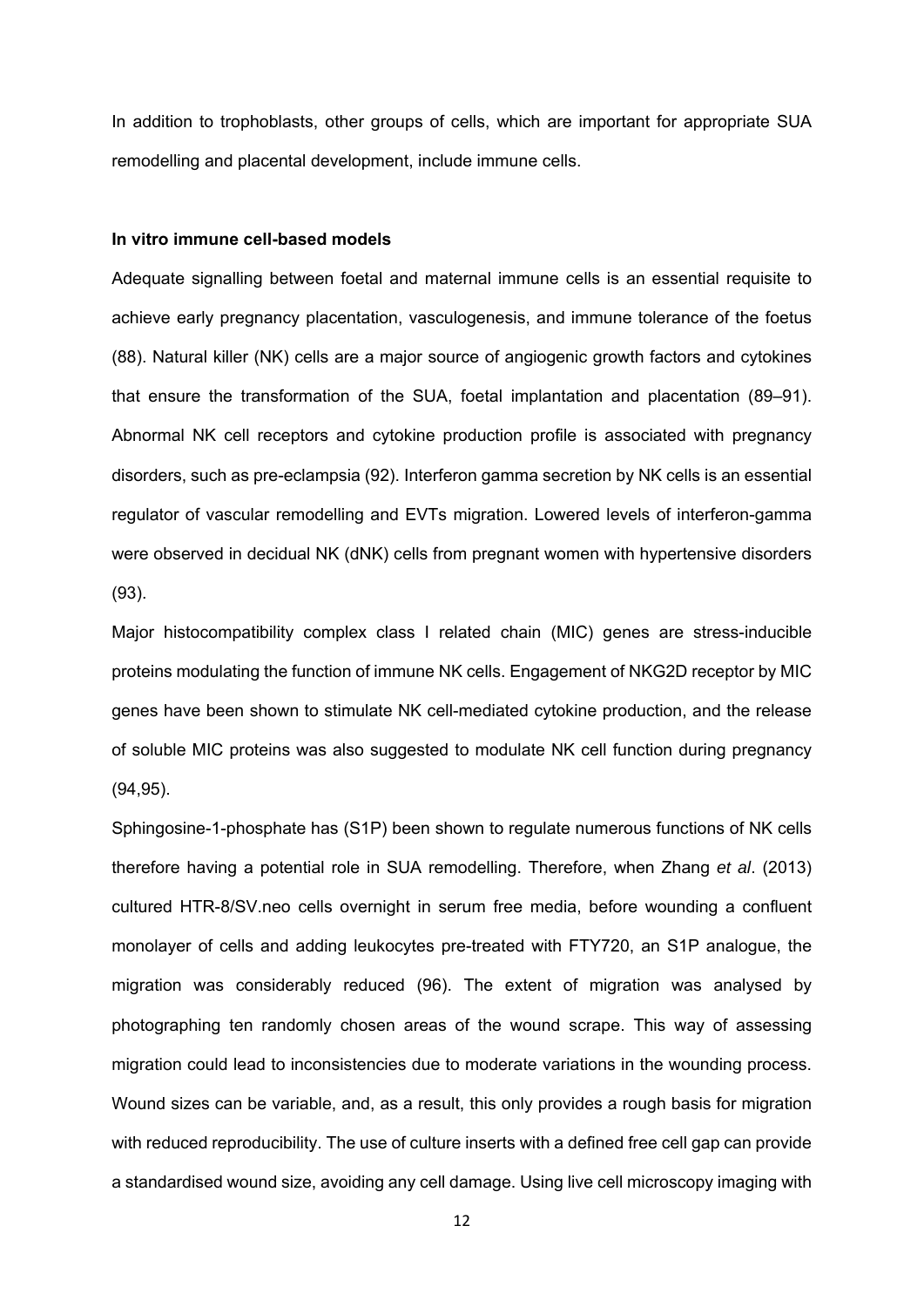In addition to trophoblasts, other groups of cells, which are important for appropriate SUA remodelling and placental development, include immune cells.

#### **In vitro immune cell-based models**

Adequate signalling between foetal and maternal immune cells is an essential requisite to achieve early pregnancy placentation, vasculogenesis, and immune tolerance of the foetus (88). Natural killer (NK) cells are a major source of angiogenic growth factors and cytokines that ensure the transformation of the SUA, foetal implantation and placentation (89–91). Abnormal NK cell receptors and cytokine production profile is associated with pregnancy disorders, such as pre-eclampsia (92). Interferon gamma secretion by NK cells is an essential regulator of vascular remodelling and EVTs migration. Lowered levels of interferon-gamma were observed in decidual NK (dNK) cells from pregnant women with hypertensive disorders (93).

Major histocompatibility complex class I related chain (MIC) genes are stress-inducible proteins modulating the function of immune NK cells. Engagement of NKG2D receptor by MIC genes have been shown to stimulate NK cell-mediated cytokine production, and the release of soluble MIC proteins was also suggested to modulate NK cell function during pregnancy (94,95).

Sphingosine-1-phosphate has (S1P) been shown to regulate numerous functions of NK cells therefore having a potential role in SUA remodelling. Therefore, when Zhang *et al*. (2013) cultured HTR-8/SV.neo cells overnight in serum free media, before wounding a confluent monolayer of cells and adding leukocytes pre-treated with FTY720, an S1P analogue, the migration was considerably reduced (96). The extent of migration was analysed by photographing ten randomly chosen areas of the wound scrape. This way of assessing migration could lead to inconsistencies due to moderate variations in the wounding process. Wound sizes can be variable, and, as a result, this only provides a rough basis for migration with reduced reproducibility. The use of culture inserts with a defined free cell gap can provide a standardised wound size, avoiding any cell damage. Using live cell microscopy imaging with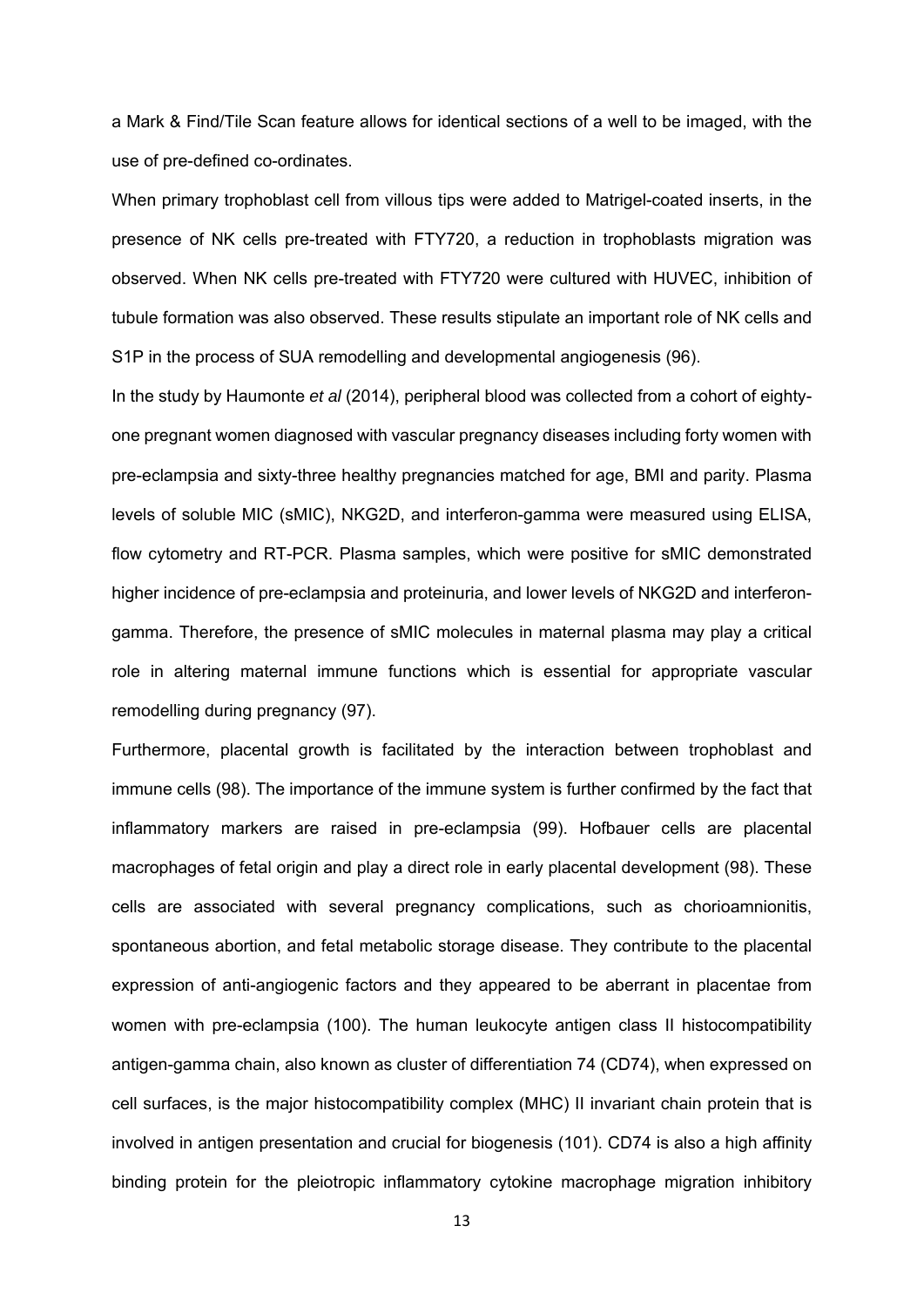a Mark & Find/Tile Scan feature allows for identical sections of a well to be imaged, with the use of pre-defined co-ordinates.

When primary trophoblast cell from villous tips were added to Matrigel-coated inserts, in the presence of NK cells pre-treated with FTY720, a reduction in trophoblasts migration was observed. When NK cells pre-treated with FTY720 were cultured with HUVEC, inhibition of tubule formation was also observed. These results stipulate an important role of NK cells and S1P in the process of SUA remodelling and developmental angiogenesis (96).

In the study by Haumonte *et al* (2014), peripheral blood was collected from a cohort of eightyone pregnant women diagnosed with vascular pregnancy diseases including forty women with pre-eclampsia and sixty-three healthy pregnancies matched for age, BMI and parity. Plasma levels of soluble MIC (sMIC), NKG2D, and interferon-gamma were measured using ELISA, flow cytometry and RT-PCR. Plasma samples, which were positive for sMIC demonstrated higher incidence of pre-eclampsia and proteinuria, and lower levels of NKG2D and interferongamma. Therefore, the presence of sMIC molecules in maternal plasma may play a critical role in altering maternal immune functions which is essential for appropriate vascular remodelling during pregnancy (97).

Furthermore, placental growth is facilitated by the interaction between trophoblast and immune cells (98). The importance of the immune system is further confirmed by the fact that inflammatory markers are raised in pre-eclampsia (99). Hofbauer cells are placental macrophages of fetal origin and play a direct role in early placental development (98). These cells are associated with several pregnancy complications, such as chorioamnionitis, spontaneous abortion, and fetal metabolic storage disease. They contribute to the placental expression of anti-angiogenic factors and they appeared to be aberrant in placentae from women with pre-eclampsia (100). The human leukocyte antigen class II histocompatibility antigen-gamma chain, also known as cluster of differentiation 74 (CD74), when expressed on cell surfaces, is the major histocompatibility complex (MHC) II invariant chain protein that is involved in antigen presentation and crucial for biogenesis (101). CD74 is also a high affinity binding protein for the pleiotropic inflammatory cytokine macrophage migration inhibitory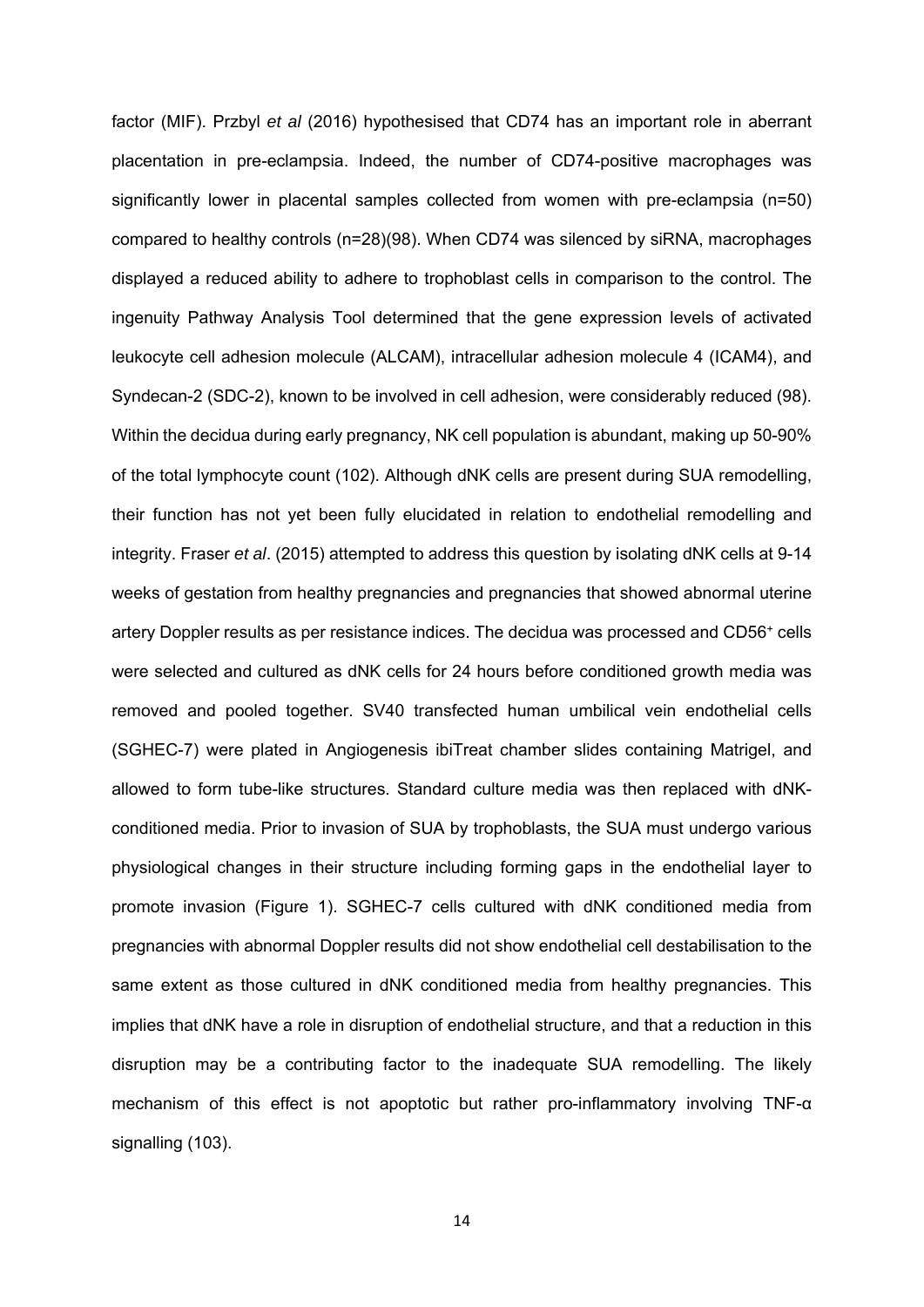factor (MIF). Przbyl *et al* (2016) hypothesised that CD74 has an important role in aberrant placentation in pre-eclampsia. Indeed, the number of CD74-positive macrophages was significantly lower in placental samples collected from women with pre-eclampsia (n=50) compared to healthy controls (n=28)(98). When CD74 was silenced by siRNA, macrophages displayed a reduced ability to adhere to trophoblast cells in comparison to the control. The ingenuity Pathway Analysis Tool determined that the gene expression levels of activated leukocyte cell adhesion molecule (ALCAM), intracellular adhesion molecule 4 (ICAM4), and Syndecan-2 (SDC-2), known to be involved in cell adhesion, were considerably reduced (98). Within the decidua during early pregnancy, NK cell population is abundant, making up 50-90% of the total lymphocyte count (102). Although dNK cells are present during SUA remodelling, their function has not yet been fully elucidated in relation to endothelial remodelling and integrity. Fraser *et al*. (2015) attempted to address this question by isolating dNK cells at 9-14 weeks of gestation from healthy pregnancies and pregnancies that showed abnormal uterine artery Doppler results as per resistance indices. The decidua was processed and CD56<sup>+</sup> cells were selected and cultured as dNK cells for 24 hours before conditioned growth media was removed and pooled together. SV40 transfected human umbilical vein endothelial cells (SGHEC-7) were plated in Angiogenesis ibiTreat chamber slides containing Matrigel, and allowed to form tube-like structures. Standard culture media was then replaced with dNKconditioned media. Prior to invasion of SUA by trophoblasts, the SUA must undergo various physiological changes in their structure including forming gaps in the endothelial layer to promote invasion (Figure 1). SGHEC-7 cells cultured with dNK conditioned media from pregnancies with abnormal Doppler results did not show endothelial cell destabilisation to the same extent as those cultured in dNK conditioned media from healthy pregnancies. This implies that dNK have a role in disruption of endothelial structure, and that a reduction in this disruption may be a contributing factor to the inadequate SUA remodelling. The likely mechanism of this effect is not apoptotic but rather pro-inflammatory involving TNF-α signalling (103).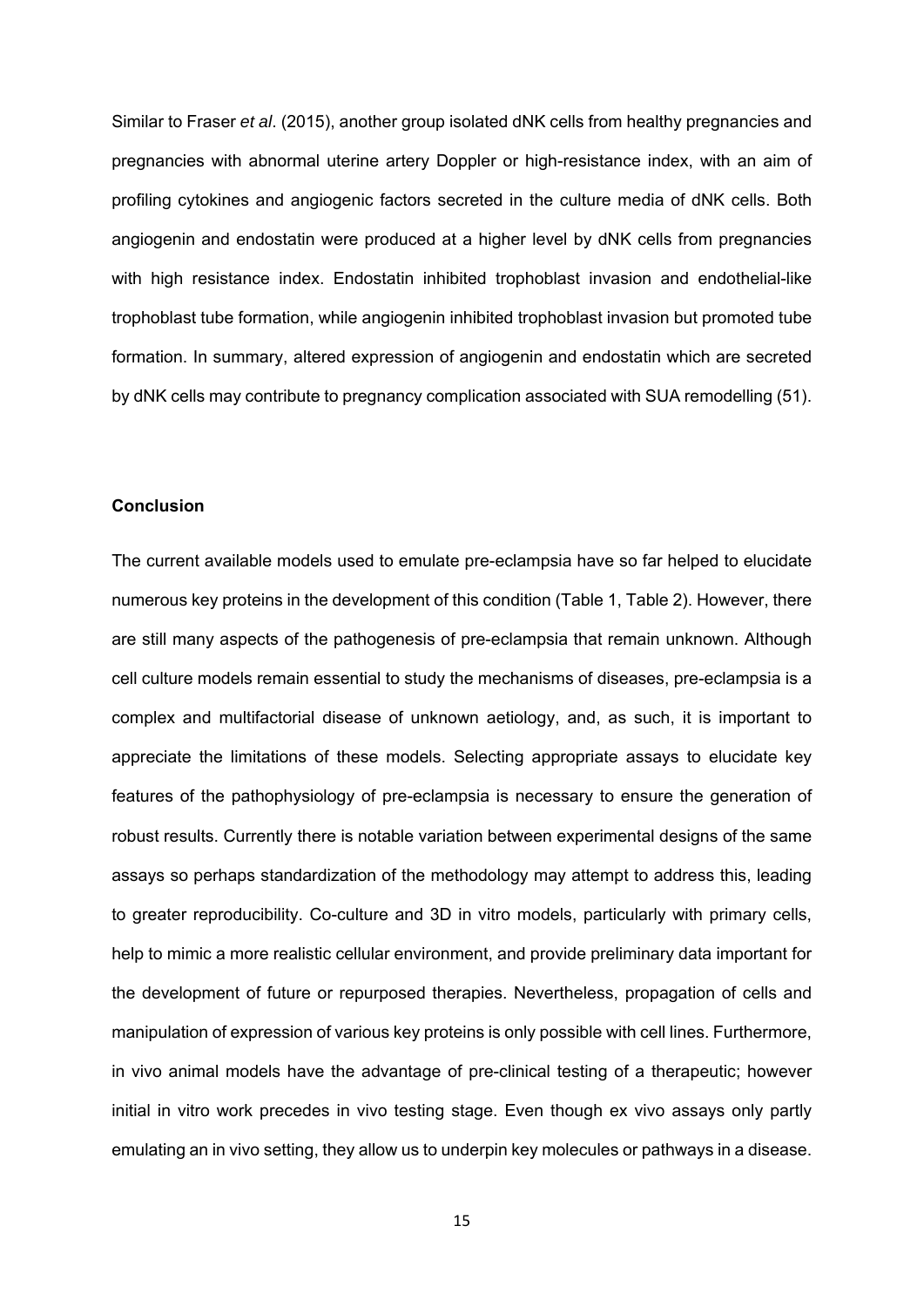Similar to Fraser *et al*. (2015), another group isolated dNK cells from healthy pregnancies and pregnancies with abnormal uterine artery Doppler or high-resistance index, with an aim of profiling cytokines and angiogenic factors secreted in the culture media of dNK cells. Both angiogenin and endostatin were produced at a higher level by dNK cells from pregnancies with high resistance index. Endostatin inhibited trophoblast invasion and endothelial-like trophoblast tube formation, while angiogenin inhibited trophoblast invasion but promoted tube formation. In summary, altered expression of angiogenin and endostatin which are secreted by dNK cells may contribute to pregnancy complication associated with SUA remodelling (51).

## **Conclusion**

The current available models used to emulate pre-eclampsia have so far helped to elucidate numerous key proteins in the development of this condition (Table 1, Table 2). However, there are still many aspects of the pathogenesis of pre-eclampsia that remain unknown. Although cell culture models remain essential to study the mechanisms of diseases, pre-eclampsia is a complex and multifactorial disease of unknown aetiology, and, as such, it is important to appreciate the limitations of these models. Selecting appropriate assays to elucidate key features of the pathophysiology of pre-eclampsia is necessary to ensure the generation of robust results. Currently there is notable variation between experimental designs of the same assays so perhaps standardization of the methodology may attempt to address this, leading to greater reproducibility. Co-culture and 3D in vitro models, particularly with primary cells, help to mimic a more realistic cellular environment, and provide preliminary data important for the development of future or repurposed therapies. Nevertheless, propagation of cells and manipulation of expression of various key proteins is only possible with cell lines. Furthermore, in vivo animal models have the advantage of pre-clinical testing of a therapeutic; however initial in vitro work precedes in vivo testing stage. Even though ex vivo assays only partly emulating an in vivo setting, they allow us to underpin key molecules or pathways in a disease.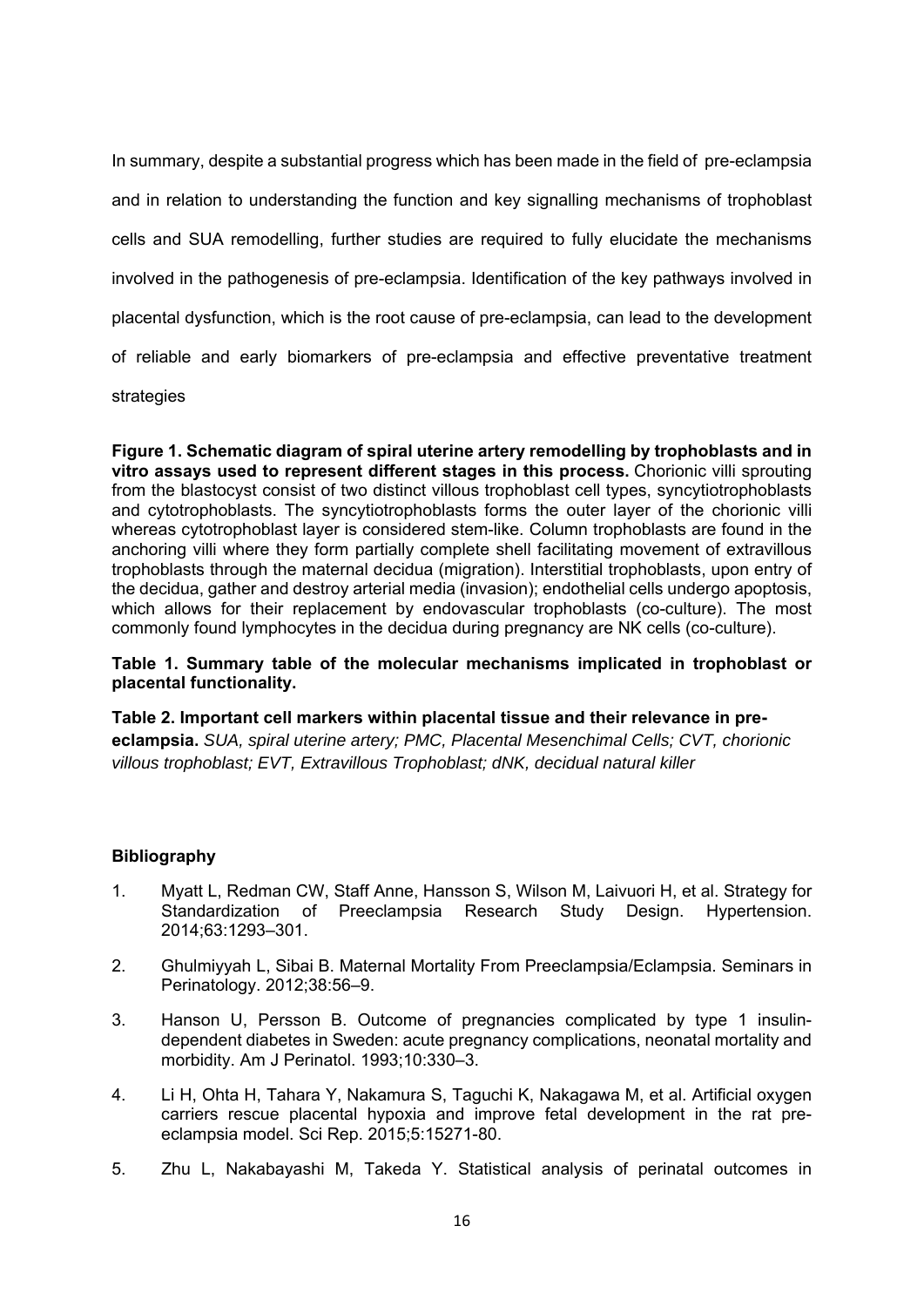In summary, despite a substantial progress which has been made in the field of pre-eclampsia and in relation to understanding the function and key signalling mechanisms of trophoblast cells and SUA remodelling, further studies are required to fully elucidate the mechanisms involved in the pathogenesis of pre-eclampsia. Identification of the key pathways involved in placental dysfunction, which is the root cause of pre-eclampsia, can lead to the development of reliable and early biomarkers of pre-eclampsia and effective preventative treatment strategies

**Figure 1. Schematic diagram of spiral uterine artery remodelling by trophoblasts and in vitro assays used to represent different stages in this process.** Chorionic villi sprouting from the blastocyst consist of two distinct villous trophoblast cell types, syncytiotrophoblasts and cytotrophoblasts. The syncytiotrophoblasts forms the outer layer of the chorionic villi whereas cytotrophoblast layer is considered stem-like. Column trophoblasts are found in the anchoring villi where they form partially complete shell facilitating movement of extravillous trophoblasts through the maternal decidua (migration). Interstitial trophoblasts, upon entry of the decidua, gather and destroy arterial media (invasion); endothelial cells undergo apoptosis, which allows for their replacement by endovascular trophoblasts (co-culture). The most commonly found lymphocytes in the decidua during pregnancy are NK cells (co-culture).

**Table 1. Summary table of the molecular mechanisms implicated in trophoblast or placental functionality.** 

**Table 2. Important cell markers within placental tissue and their relevance in preeclampsia.** *SUA, spiral uterine artery; PMC, Placental Mesenchimal Cells; CVT, chorionic villous trophoblast; EVT, Extravillous Trophoblast; dNK, decidual natural killer* 

# **Bibliography**

- 1. Myatt L, Redman CW, Staff Anne, Hansson S, Wilson M, Laivuori H, et al. Strategy for Standardization of Preeclampsia Research Study Design. Hypertension. 2014;63:1293–301.
- 2. Ghulmiyyah L, Sibai B. Maternal Mortality From Preeclampsia/Eclampsia. Seminars in Perinatology. 2012;38:56–9.
- 3. Hanson U, Persson B. Outcome of pregnancies complicated by type 1 insulindependent diabetes in Sweden: acute pregnancy complications, neonatal mortality and morbidity. Am J Perinatol. 1993;10:330–3.
- 4. Li H, Ohta H, Tahara Y, Nakamura S, Taguchi K, Nakagawa M, et al. Artificial oxygen carriers rescue placental hypoxia and improve fetal development in the rat preeclampsia model. Sci Rep. 2015;5:15271-80.
- 5. Zhu L, Nakabayashi M, Takeda Y. Statistical analysis of perinatal outcomes in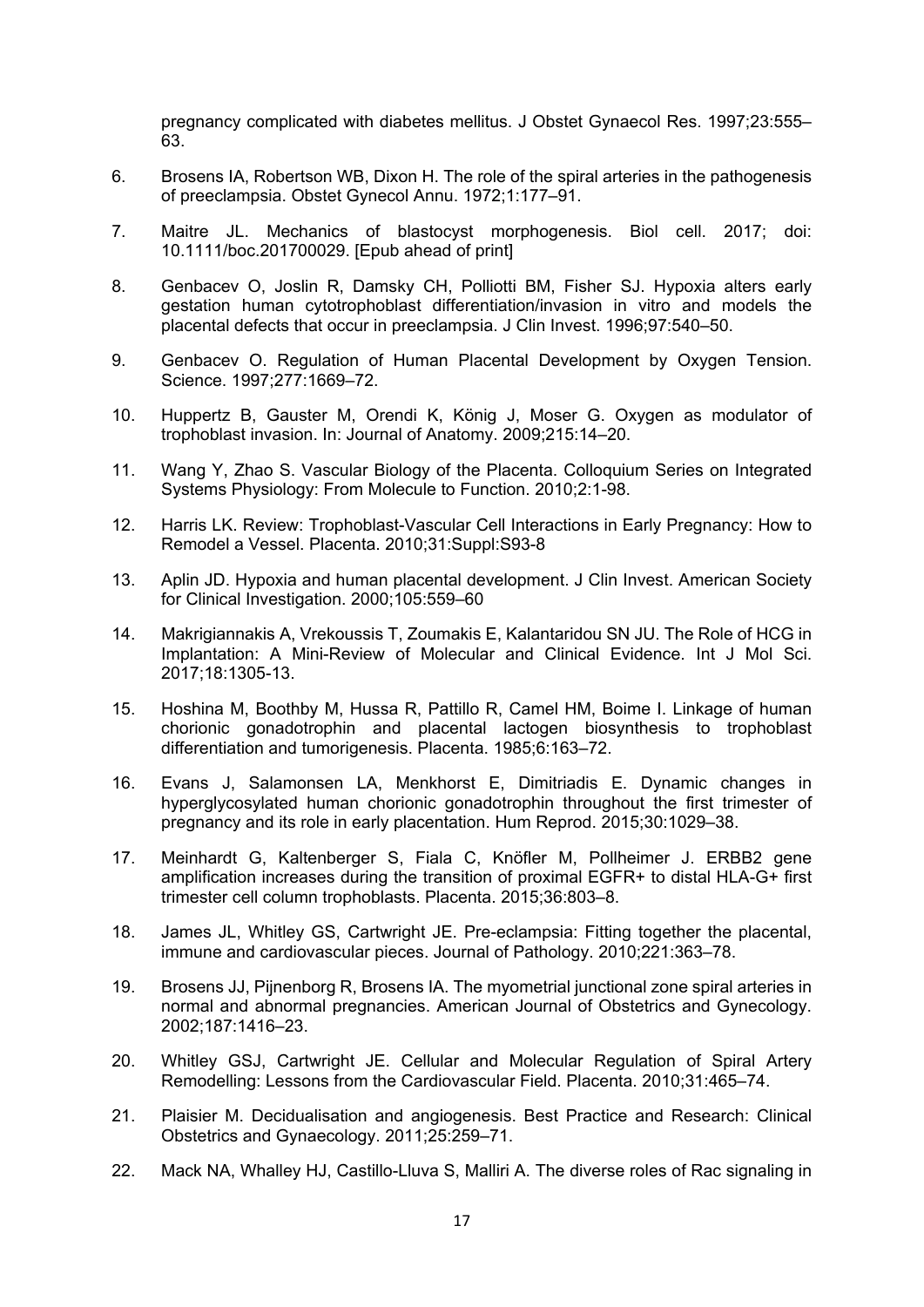pregnancy complicated with diabetes mellitus. J Obstet Gynaecol Res. 1997;23:555– 63.

- 6. Brosens IA, Robertson WB, Dixon H. The role of the spiral arteries in the pathogenesis of preeclampsia. Obstet Gynecol Annu. 1972;1:177–91.
- 7. Maitre JL. Mechanics of blastocyst morphogenesis. Biol cell. 2017; doi: 10.1111/boc.201700029. [Epub ahead of print]
- 8. Genbacev O, Joslin R, Damsky CH, Polliotti BM, Fisher SJ. Hypoxia alters early gestation human cytotrophoblast differentiation/invasion in vitro and models the placental defects that occur in preeclampsia. J Clin Invest. 1996;97:540–50.
- 9. Genbacev O. Regulation of Human Placental Development by Oxygen Tension. Science. 1997;277:1669–72.
- 10. Huppertz B, Gauster M, Orendi K, König J, Moser G. Oxygen as modulator of trophoblast invasion. In: Journal of Anatomy. 2009;215:14–20.
- 11. Wang Y, Zhao S. Vascular Biology of the Placenta. Colloquium Series on Integrated Systems Physiology: From Molecule to Function. 2010;2:1-98.
- 12. Harris LK. Review: Trophoblast-Vascular Cell Interactions in Early Pregnancy: How to Remodel a Vessel. Placenta. 2010;31:Suppl:S93-8
- 13. Aplin JD. Hypoxia and human placental development. J Clin Invest. American Society for Clinical Investigation. 2000;105:559–60
- 14. Makrigiannakis A, Vrekoussis T, Zoumakis E, Kalantaridou SN JU. The Role of HCG in Implantation: A Mini-Review of Molecular and Clinical Evidence. Int J Mol Sci. 2017;18:1305-13.
- 15. Hoshina M, Boothby M, Hussa R, Pattillo R, Camel HM, Boime I. Linkage of human chorionic gonadotrophin and placental lactogen biosynthesis to trophoblast differentiation and tumorigenesis. Placenta. 1985;6:163–72.
- 16. Evans J, Salamonsen LA, Menkhorst E, Dimitriadis E. Dynamic changes in hyperglycosylated human chorionic gonadotrophin throughout the first trimester of pregnancy and its role in early placentation. Hum Reprod. 2015;30:1029–38.
- 17. Meinhardt G, Kaltenberger S, Fiala C, Knöfler M, Pollheimer J. ERBB2 gene amplification increases during the transition of proximal EGFR+ to distal HLA-G+ first trimester cell column trophoblasts. Placenta. 2015;36:803–8.
- 18. James JL, Whitley GS, Cartwright JE. Pre-eclampsia: Fitting together the placental, immune and cardiovascular pieces. Journal of Pathology. 2010;221:363–78.
- 19. Brosens JJ, Pijnenborg R, Brosens IA. The myometrial junctional zone spiral arteries in normal and abnormal pregnancies. American Journal of Obstetrics and Gynecology. 2002;187:1416–23.
- 20. Whitley GSJ, Cartwright JE. Cellular and Molecular Regulation of Spiral Artery Remodelling: Lessons from the Cardiovascular Field. Placenta. 2010;31:465–74.
- 21. Plaisier M. Decidualisation and angiogenesis. Best Practice and Research: Clinical Obstetrics and Gynaecology. 2011;25:259–71.
- 22. Mack NA, Whalley HJ, Castillo-Lluva S, Malliri A. The diverse roles of Rac signaling in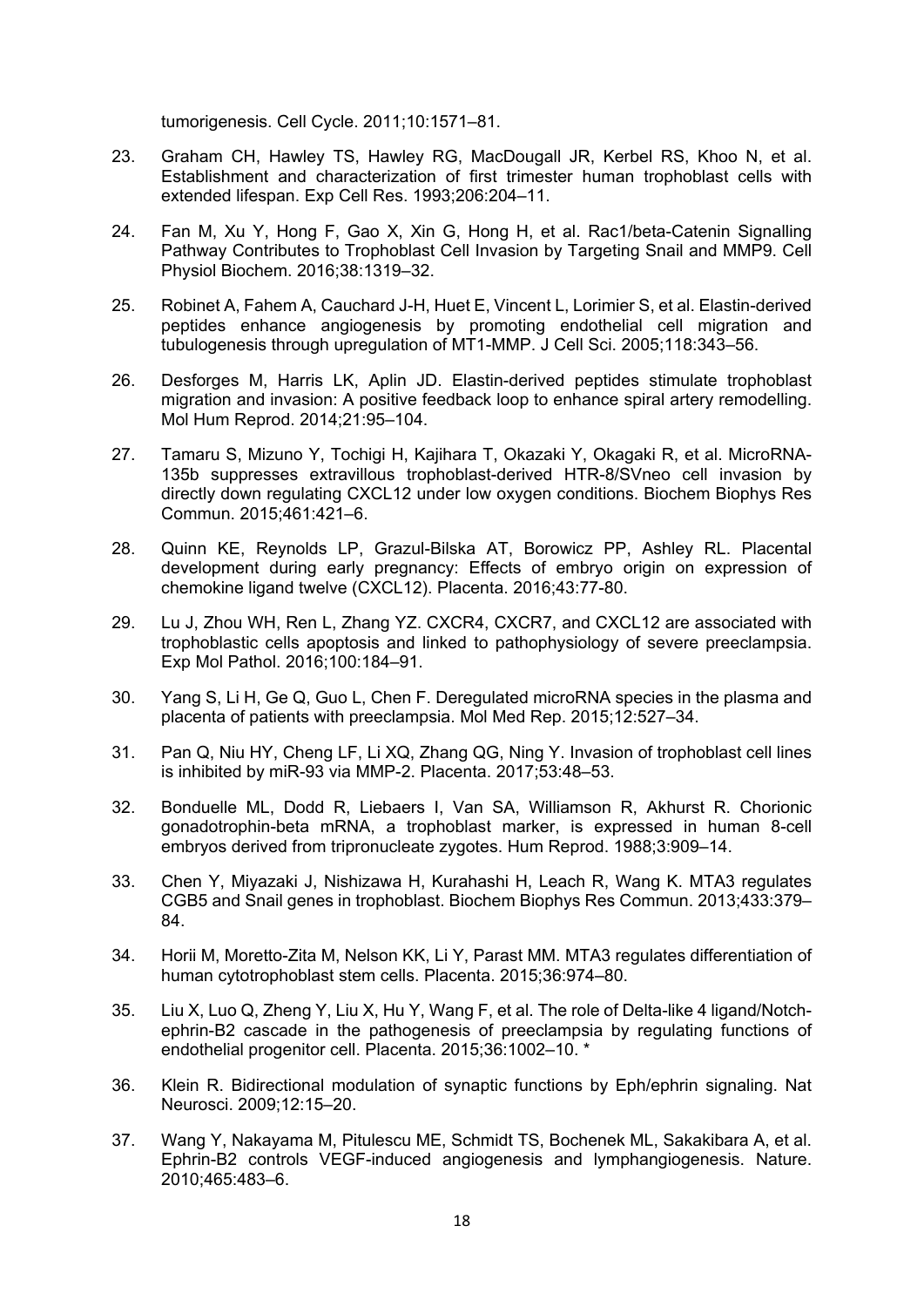tumorigenesis. Cell Cycle. 2011;10:1571–81.

- 23. Graham CH, Hawley TS, Hawley RG, MacDougall JR, Kerbel RS, Khoo N, et al. Establishment and characterization of first trimester human trophoblast cells with extended lifespan. Exp Cell Res. 1993;206:204–11.
- 24. Fan M, Xu Y, Hong F, Gao X, Xin G, Hong H, et al. Rac1/beta-Catenin Signalling Pathway Contributes to Trophoblast Cell Invasion by Targeting Snail and MMP9. Cell Physiol Biochem. 2016;38:1319–32.
- 25. Robinet A, Fahem A, Cauchard J-H, Huet E, Vincent L, Lorimier S, et al. Elastin-derived peptides enhance angiogenesis by promoting endothelial cell migration and tubulogenesis through upregulation of MT1-MMP. J Cell Sci. 2005;118:343–56.
- 26. Desforges M, Harris LK, Aplin JD. Elastin-derived peptides stimulate trophoblast migration and invasion: A positive feedback loop to enhance spiral artery remodelling. Mol Hum Reprod. 2014;21:95–104.
- 27. Tamaru S, Mizuno Y, Tochigi H, Kajihara T, Okazaki Y, Okagaki R, et al. MicroRNA-135b suppresses extravillous trophoblast-derived HTR-8/SVneo cell invasion by directly down regulating CXCL12 under low oxygen conditions. Biochem Biophys Res Commun. 2015;461:421–6.
- 28. Quinn KE, Reynolds LP, Grazul-Bilska AT, Borowicz PP, Ashley RL. Placental development during early pregnancy: Effects of embryo origin on expression of chemokine ligand twelve (CXCL12). Placenta. 2016;43:77-80.
- 29. Lu J, Zhou WH, Ren L, Zhang YZ. CXCR4, CXCR7, and CXCL12 are associated with trophoblastic cells apoptosis and linked to pathophysiology of severe preeclampsia. Exp Mol Pathol. 2016;100:184–91.
- 30. Yang S, Li H, Ge Q, Guo L, Chen F. Deregulated microRNA species in the plasma and placenta of patients with preeclampsia. Mol Med Rep. 2015;12:527–34.
- 31. Pan Q, Niu HY, Cheng LF, Li XQ, Zhang QG, Ning Y. Invasion of trophoblast cell lines is inhibited by miR-93 via MMP-2. Placenta. 2017;53:48–53.
- 32. Bonduelle ML, Dodd R, Liebaers I, Van SA, Williamson R, Akhurst R. Chorionic gonadotrophin-beta mRNA, a trophoblast marker, is expressed in human 8-cell embryos derived from tripronucleate zygotes. Hum Reprod. 1988;3:909–14.
- 33. Chen Y, Miyazaki J, Nishizawa H, Kurahashi H, Leach R, Wang K. MTA3 regulates CGB5 and Snail genes in trophoblast. Biochem Biophys Res Commun. 2013;433:379– 84.
- 34. Horii M, Moretto-Zita M, Nelson KK, Li Y, Parast MM. MTA3 regulates differentiation of human cytotrophoblast stem cells. Placenta. 2015;36:974–80.
- 35. Liu X, Luo Q, Zheng Y, Liu X, Hu Y, Wang F, et al. The role of Delta-like 4 ligand/Notchephrin-B2 cascade in the pathogenesis of preeclampsia by regulating functions of endothelial progenitor cell. Placenta. 2015;36:1002–10. \*
- 36. Klein R. Bidirectional modulation of synaptic functions by Eph/ephrin signaling. Nat Neurosci. 2009;12:15–20.
- 37. Wang Y, Nakayama M, Pitulescu ME, Schmidt TS, Bochenek ML, Sakakibara A, et al. Ephrin-B2 controls VEGF-induced angiogenesis and lymphangiogenesis. Nature. 2010;465:483–6.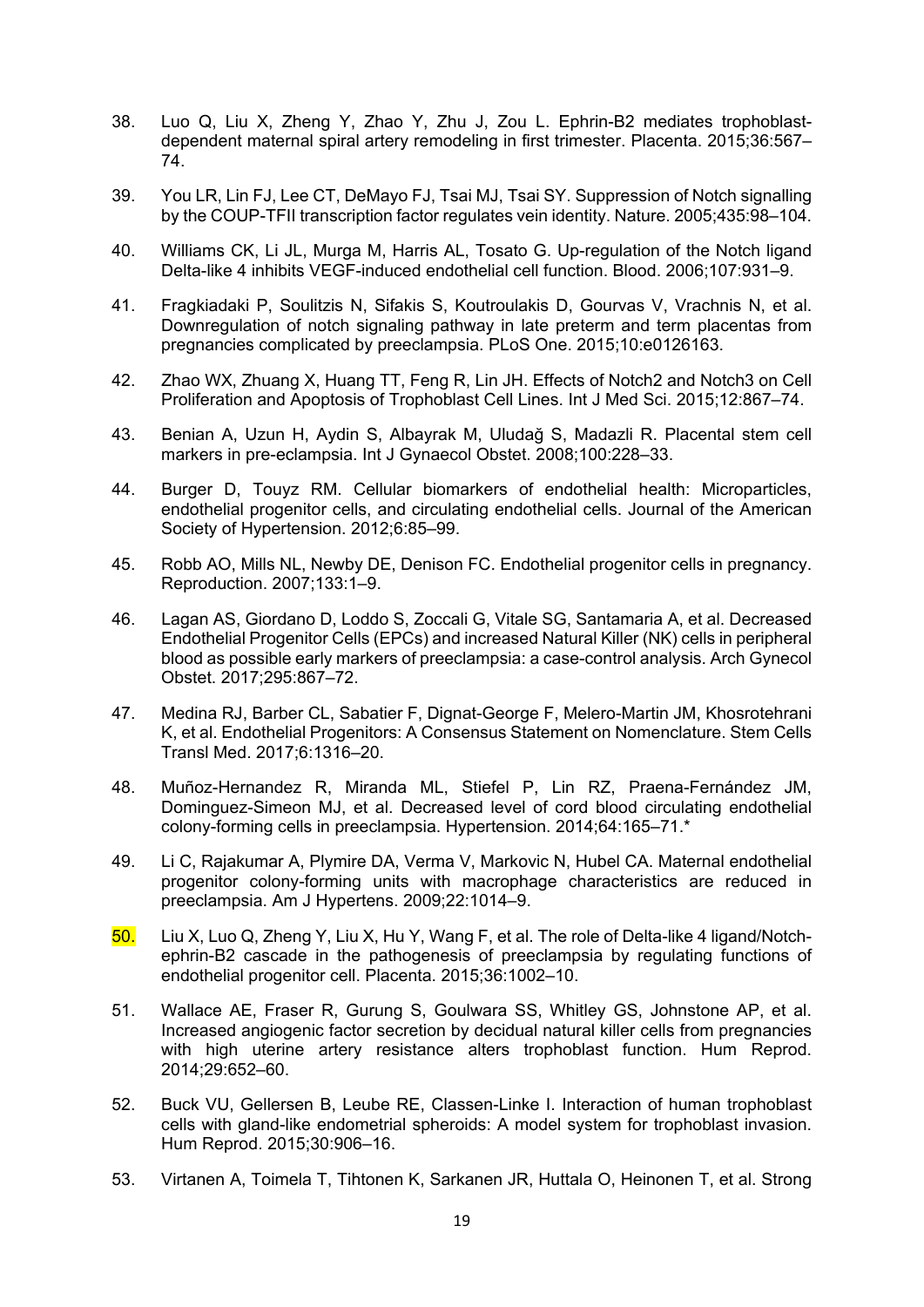- 38. Luo Q, Liu X, Zheng Y, Zhao Y, Zhu J, Zou L. Ephrin-B2 mediates trophoblastdependent maternal spiral artery remodeling in first trimester. Placenta. 2015;36:567– 74.
- 39. You LR, Lin FJ, Lee CT, DeMayo FJ, Tsai MJ, Tsai SY. Suppression of Notch signalling by the COUP-TFII transcription factor regulates vein identity. Nature. 2005;435:98–104.
- 40. Williams CK, Li JL, Murga M, Harris AL, Tosato G. Up-regulation of the Notch ligand Delta-like 4 inhibits VEGF-induced endothelial cell function. Blood. 2006;107:931–9.
- 41. Fragkiadaki P, Soulitzis N, Sifakis S, Koutroulakis D, Gourvas V, Vrachnis N, et al. Downregulation of notch signaling pathway in late preterm and term placentas from pregnancies complicated by preeclampsia. PLoS One. 2015;10:e0126163.
- 42. Zhao WX, Zhuang X, Huang TT, Feng R, Lin JH. Effects of Notch2 and Notch3 on Cell Proliferation and Apoptosis of Trophoblast Cell Lines. Int J Med Sci. 2015;12:867–74.
- 43. Benian A, Uzun H, Aydin S, Albayrak M, Uludağ S, Madazli R. Placental stem cell markers in pre-eclampsia. Int J Gynaecol Obstet. 2008;100:228–33.
- 44. Burger D, Touyz RM. Cellular biomarkers of endothelial health: Microparticles, endothelial progenitor cells, and circulating endothelial cells. Journal of the American Society of Hypertension. 2012;6:85–99.
- 45. Robb AO, Mills NL, Newby DE, Denison FC. Endothelial progenitor cells in pregnancy. Reproduction. 2007;133:1–9.
- 46. Lagan AS, Giordano D, Loddo S, Zoccali G, Vitale SG, Santamaria A, et al. Decreased Endothelial Progenitor Cells (EPCs) and increased Natural Killer (NK) cells in peripheral blood as possible early markers of preeclampsia: a case-control analysis. Arch Gynecol Obstet. 2017;295:867–72.
- 47. Medina RJ, Barber CL, Sabatier F, Dignat-George F, Melero-Martin JM, Khosrotehrani K, et al. Endothelial Progenitors: A Consensus Statement on Nomenclature. Stem Cells Transl Med. 2017;6:1316–20.
- 48. Muñoz-Hernandez R, Miranda ML, Stiefel P, Lin RZ, Praena-Fernández JM, Dominguez-Simeon MJ, et al. Decreased level of cord blood circulating endothelial colony-forming cells in preeclampsia. Hypertension. 2014;64:165–71.\*
- 49. Li C, Rajakumar A, Plymire DA, Verma V, Markovic N, Hubel CA. Maternal endothelial progenitor colony-forming units with macrophage characteristics are reduced in preeclampsia. Am J Hypertens. 2009;22:1014–9.
- 50. Liu X, Luo Q, Zheng Y, Liu X, Hu Y, Wang F, et al. The role of Delta-like 4 ligand/Notchephrin-B2 cascade in the pathogenesis of preeclampsia by regulating functions of endothelial progenitor cell. Placenta. 2015;36:1002–10.
- 51. Wallace AE, Fraser R, Gurung S, Goulwara SS, Whitley GS, Johnstone AP, et al. Increased angiogenic factor secretion by decidual natural killer cells from pregnancies with high uterine artery resistance alters trophoblast function. Hum Reprod. 2014;29:652–60.
- 52. Buck VU, Gellersen B, Leube RE, Classen-Linke I. Interaction of human trophoblast cells with gland-like endometrial spheroids: A model system for trophoblast invasion. Hum Reprod. 2015;30:906–16.
- 53. Virtanen A, Toimela T, Tihtonen K, Sarkanen JR, Huttala O, Heinonen T, et al. Strong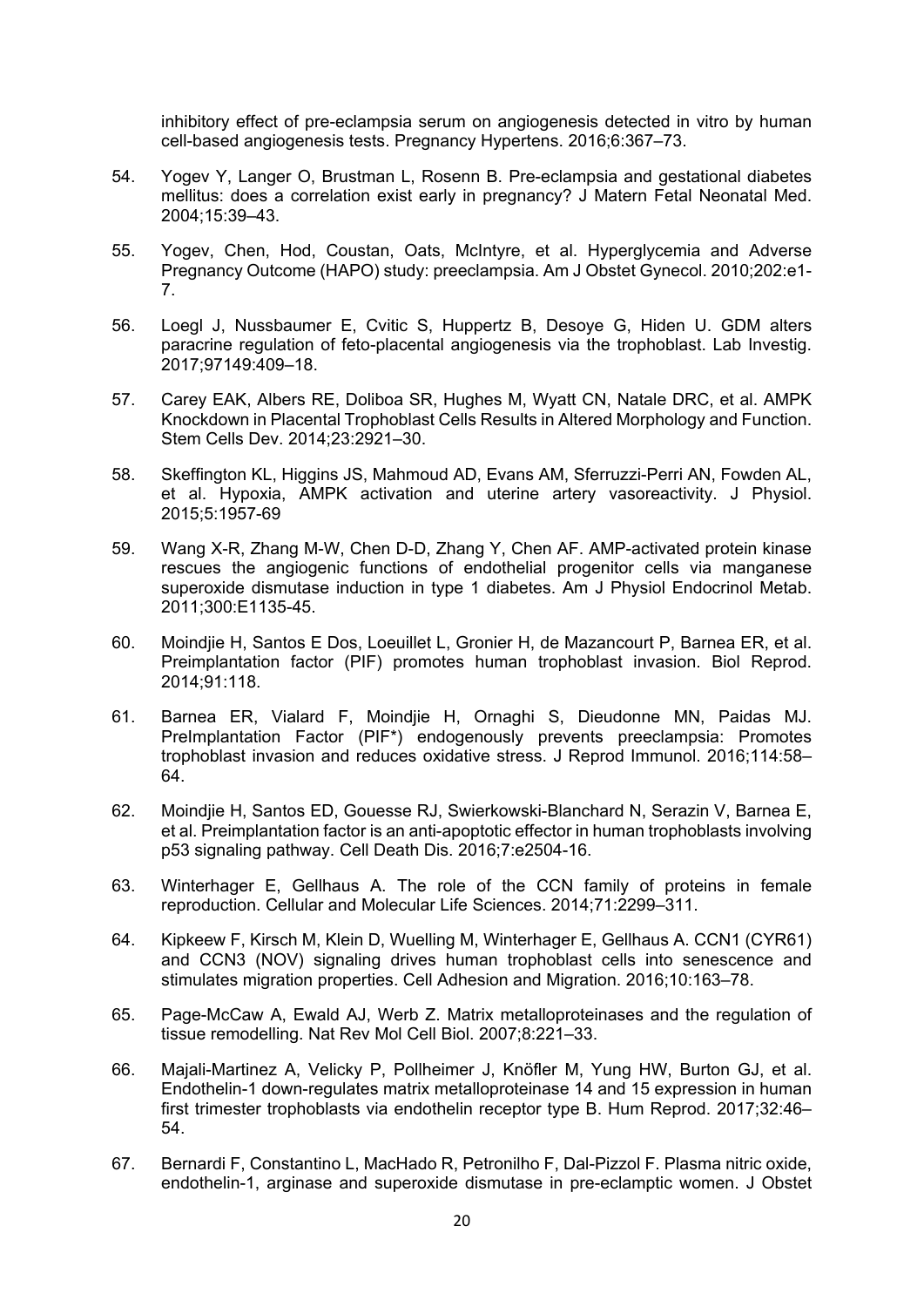inhibitory effect of pre-eclampsia serum on angiogenesis detected in vitro by human cell-based angiogenesis tests. Pregnancy Hypertens. 2016;6:367–73.

- 54. Yogev Y, Langer O, Brustman L, Rosenn B. Pre-eclampsia and gestational diabetes mellitus: does a correlation exist early in pregnancy? J Matern Fetal Neonatal Med. 2004;15:39–43.
- 55. Yogev, Chen, Hod, Coustan, Oats, McIntyre, et al. Hyperglycemia and Adverse Pregnancy Outcome (HAPO) study: preeclampsia. Am J Obstet Gynecol. 2010;202:e1- 7.
- 56. Loegl J, Nussbaumer E, Cvitic S, Huppertz B, Desoye G, Hiden U. GDM alters paracrine regulation of feto-placental angiogenesis via the trophoblast. Lab Investig. 2017;97149:409–18.
- 57. Carey EAK, Albers RE, Doliboa SR, Hughes M, Wyatt CN, Natale DRC, et al. AMPK Knockdown in Placental Trophoblast Cells Results in Altered Morphology and Function. Stem Cells Dev. 2014;23:2921–30.
- 58. Skeffington KL, Higgins JS, Mahmoud AD, Evans AM, Sferruzzi-Perri AN, Fowden AL, et al. Hypoxia, AMPK activation and uterine artery vasoreactivity. J Physiol. 2015;5:1957-69
- 59. Wang X-R, Zhang M-W, Chen D-D, Zhang Y, Chen AF. AMP-activated protein kinase rescues the angiogenic functions of endothelial progenitor cells via manganese superoxide dismutase induction in type 1 diabetes. Am J Physiol Endocrinol Metab. 2011;300:E1135-45.
- 60. Moindjie H, Santos E Dos, Loeuillet L, Gronier H, de Mazancourt P, Barnea ER, et al. Preimplantation factor (PIF) promotes human trophoblast invasion. Biol Reprod. 2014;91:118.
- 61. Barnea ER, Vialard F, Moindjie H, Ornaghi S, Dieudonne MN, Paidas MJ. PreImplantation Factor (PIF\*) endogenously prevents preeclampsia: Promotes trophoblast invasion and reduces oxidative stress. J Reprod Immunol. 2016;114:58– 64.
- 62. Moindjie H, Santos ED, Gouesse RJ, Swierkowski-Blanchard N, Serazin V, Barnea E, et al. Preimplantation factor is an anti-apoptotic effector in human trophoblasts involving p53 signaling pathway. Cell Death Dis. 2016;7:e2504-16.
- 63. Winterhager E, Gellhaus A. The role of the CCN family of proteins in female reproduction. Cellular and Molecular Life Sciences. 2014;71:2299–311.
- 64. Kipkeew F, Kirsch M, Klein D, Wuelling M, Winterhager E, Gellhaus A. CCN1 (CYR61) and CCN3 (NOV) signaling drives human trophoblast cells into senescence and stimulates migration properties. Cell Adhesion and Migration. 2016;10:163–78.
- 65. Page-McCaw A, Ewald AJ, Werb Z. Matrix metalloproteinases and the regulation of tissue remodelling. Nat Rev Mol Cell Biol. 2007;8:221–33.
- 66. Majali-Martinez A, Velicky P, Pollheimer J, Knöfler M, Yung HW, Burton GJ, et al. Endothelin-1 down-regulates matrix metalloproteinase 14 and 15 expression in human first trimester trophoblasts via endothelin receptor type B. Hum Reprod. 2017;32:46– 54.
- 67. Bernardi F, Constantino L, MacHado R, Petronilho F, Dal-Pizzol F. Plasma nitric oxide, endothelin-1, arginase and superoxide dismutase in pre-eclamptic women. J Obstet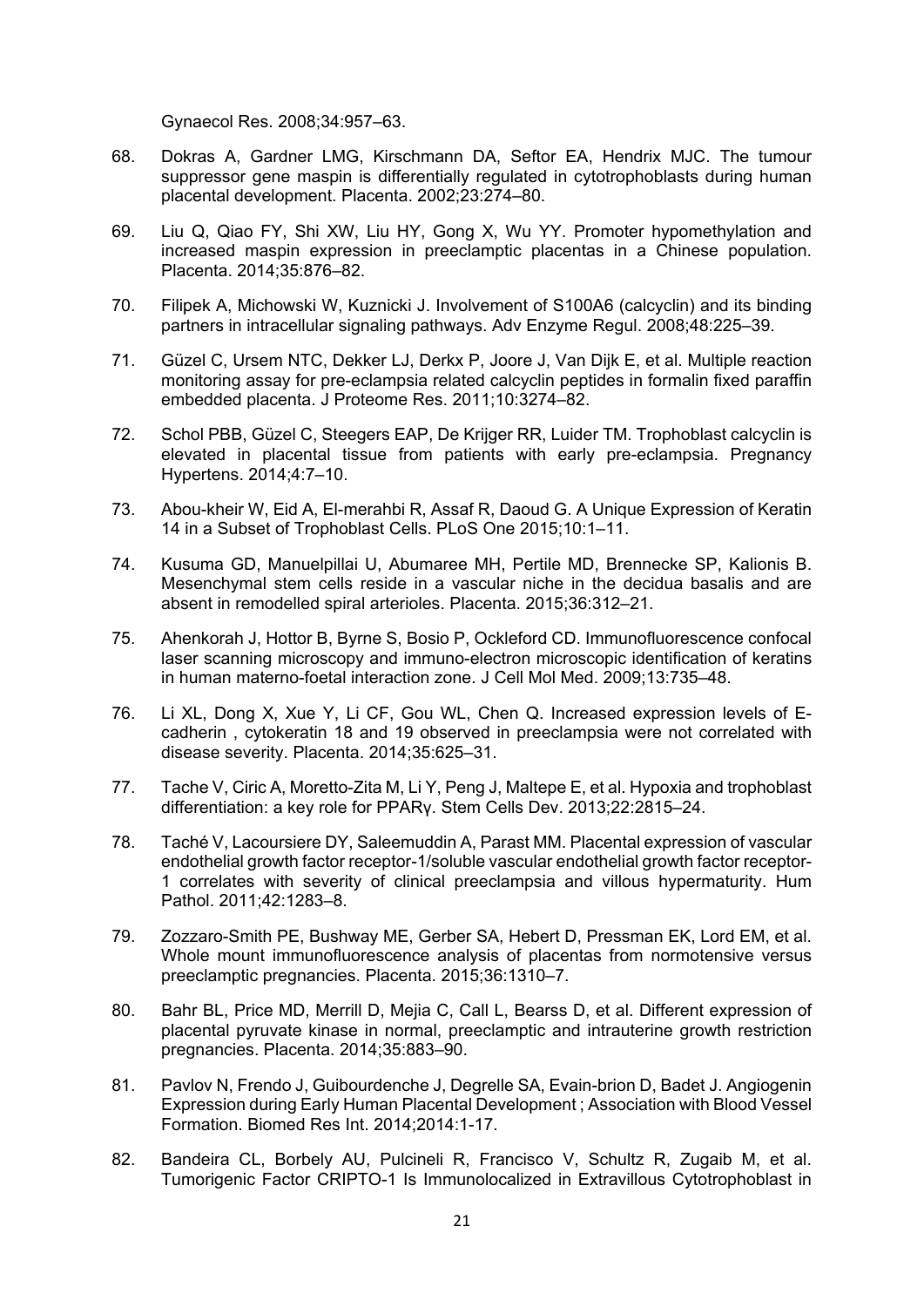Gynaecol Res. 2008;34:957–63.

- 68. Dokras A, Gardner LMG, Kirschmann DA, Seftor EA, Hendrix MJC. The tumour suppressor gene maspin is differentially regulated in cytotrophoblasts during human placental development. Placenta. 2002;23:274–80.
- 69. Liu Q, Qiao FY, Shi XW, Liu HY, Gong X, Wu YY. Promoter hypomethylation and increased maspin expression in preeclamptic placentas in a Chinese population. Placenta. 2014;35:876–82.
- 70. Filipek A, Michowski W, Kuznicki J. Involvement of S100A6 (calcyclin) and its binding partners in intracellular signaling pathways. Adv Enzyme Regul. 2008;48:225–39.
- 71. Güzel C, Ursem NTC, Dekker LJ, Derkx P, Joore J, Van Dijk E, et al. Multiple reaction monitoring assay for pre-eclampsia related calcyclin peptides in formalin fixed paraffin embedded placenta. J Proteome Res. 2011;10:3274–82.
- 72. Schol PBB, Güzel C, Steegers EAP, De Krijger RR, Luider TM. Trophoblast calcyclin is elevated in placental tissue from patients with early pre-eclampsia. Pregnancy Hypertens. 2014;4:7–10.
- 73. Abou-kheir W, Eid A, El-merahbi R, Assaf R, Daoud G. A Unique Expression of Keratin 14 in a Subset of Trophoblast Cells. PLoS One 2015;10:1–11.
- 74. Kusuma GD, Manuelpillai U, Abumaree MH, Pertile MD, Brennecke SP, Kalionis B. Mesenchymal stem cells reside in a vascular niche in the decidua basalis and are absent in remodelled spiral arterioles. Placenta. 2015;36:312–21.
- 75. Ahenkorah J, Hottor B, Byrne S, Bosio P, Ockleford CD. Immunofluorescence confocal laser scanning microscopy and immuno-electron microscopic identification of keratins in human materno-foetal interaction zone. J Cell Mol Med. 2009;13:735–48.
- 76. Li XL, Dong X, Xue Y, Li CF, Gou WL, Chen Q. Increased expression levels of Ecadherin , cytokeratin 18 and 19 observed in preeclampsia were not correlated with disease severity. Placenta. 2014;35:625–31.
- 77. Tache V, Ciric A, Moretto-Zita M, Li Y, Peng J, Maltepe E, et al. Hypoxia and trophoblast differentiation: a key role for PPARγ. Stem Cells Dev. 2013;22:2815–24.
- 78. Taché V, Lacoursiere DY, Saleemuddin A, Parast MM. Placental expression of vascular endothelial growth factor receptor-1/soluble vascular endothelial growth factor receptor-1 correlates with severity of clinical preeclampsia and villous hypermaturity. Hum Pathol. 2011;42:1283–8.
- 79. Zozzaro-Smith PE, Bushway ME, Gerber SA, Hebert D, Pressman EK, Lord EM, et al. Whole mount immunofluorescence analysis of placentas from normotensive versus preeclamptic pregnancies. Placenta. 2015;36:1310–7.
- 80. Bahr BL, Price MD, Merrill D, Mejia C, Call L, Bearss D, et al. Different expression of placental pyruvate kinase in normal, preeclamptic and intrauterine growth restriction pregnancies. Placenta. 2014;35:883–90.
- 81. Pavlov N, Frendo J, Guibourdenche J, Degrelle SA, Evain-brion D, Badet J. Angiogenin Expression during Early Human Placental Development ; Association with Blood Vessel Formation. Biomed Res Int. 2014;2014:1-17.
- 82. Bandeira CL, Borbely AU, Pulcineli R, Francisco V, Schultz R, Zugaib M, et al. Tumorigenic Factor CRIPTO-1 Is Immunolocalized in Extravillous Cytotrophoblast in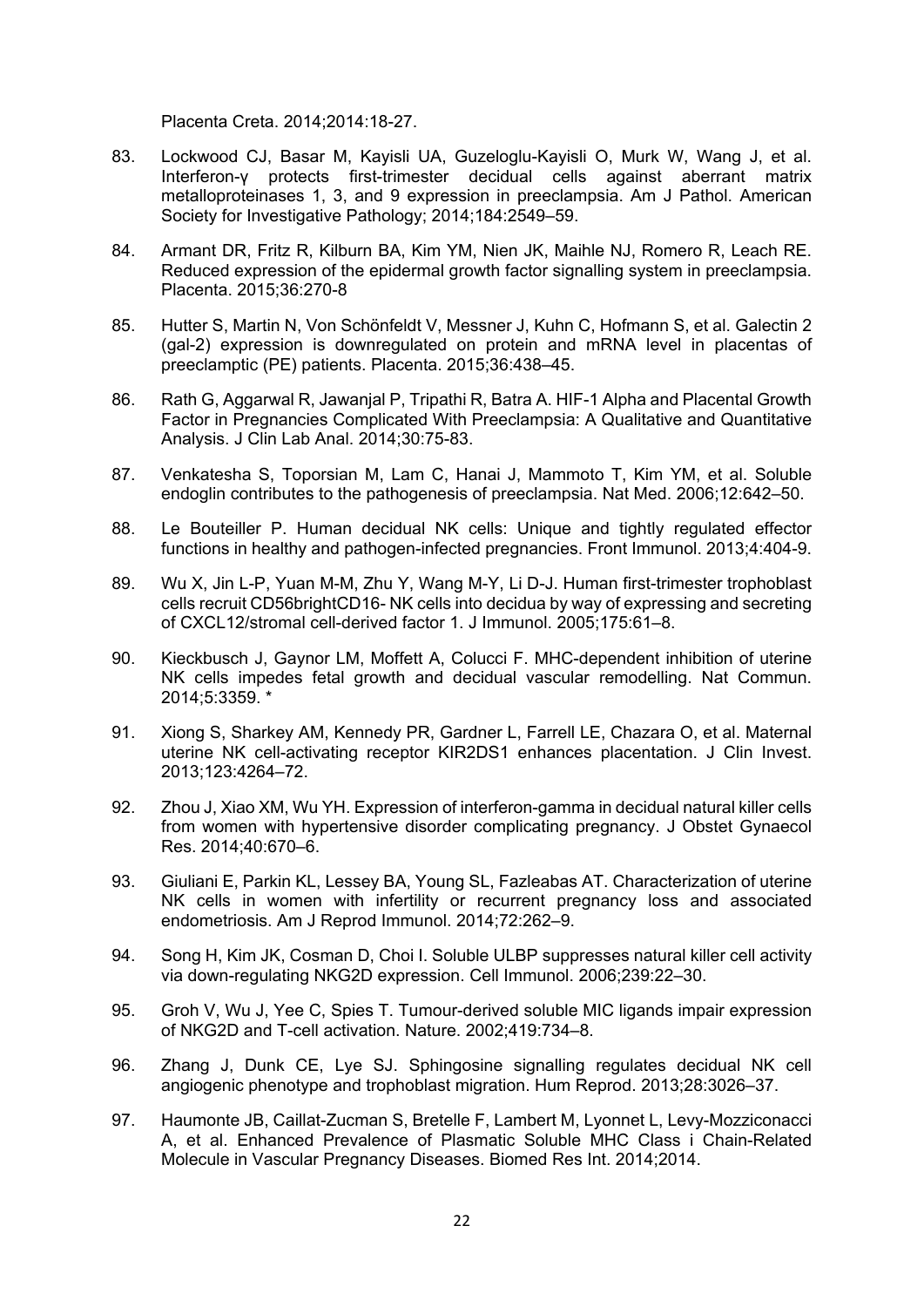Placenta Creta. 2014;2014:18-27.

- 83. Lockwood CJ, Basar M, Kayisli UA, Guzeloglu-Kayisli O, Murk W, Wang J, et al. Interferon-γ protects first-trimester decidual cells against aberrant matrix metalloproteinases 1, 3, and 9 expression in preeclampsia. Am J Pathol. American Society for Investigative Pathology; 2014;184:2549–59.
- 84. Armant DR, Fritz R, Kilburn BA, Kim YM, Nien JK, Maihle NJ, Romero R, Leach RE. Reduced expression of the epidermal growth factor signalling system in preeclampsia. Placenta. 2015;36:270-8
- 85. Hutter S, Martin N, Von Schönfeldt V, Messner J, Kuhn C, Hofmann S, et al. Galectin 2 (gal-2) expression is downregulated on protein and mRNA level in placentas of preeclamptic (PE) patients. Placenta. 2015;36:438–45.
- 86. Rath G, Aggarwal R, Jawanjal P, Tripathi R, Batra A. HIF-1 Alpha and Placental Growth Factor in Pregnancies Complicated With Preeclampsia: A Qualitative and Quantitative Analysis. J Clin Lab Anal. 2014;30:75-83.
- 87. Venkatesha S, Toporsian M, Lam C, Hanai J, Mammoto T, Kim YM, et al. Soluble endoglin contributes to the pathogenesis of preeclampsia. Nat Med. 2006;12:642–50.
- 88. Le Bouteiller P. Human decidual NK cells: Unique and tightly regulated effector functions in healthy and pathogen-infected pregnancies. Front Immunol. 2013;4:404-9.
- 89. Wu X, Jin L-P, Yuan M-M, Zhu Y, Wang M-Y, Li D-J. Human first-trimester trophoblast cells recruit CD56brightCD16- NK cells into decidua by way of expressing and secreting of CXCL12/stromal cell-derived factor 1. J Immunol. 2005;175:61–8.
- 90. Kieckbusch J, Gaynor LM, Moffett A, Colucci F. MHC-dependent inhibition of uterine NK cells impedes fetal growth and decidual vascular remodelling. Nat Commun. 2014;5:3359. \*
- 91. Xiong S, Sharkey AM, Kennedy PR, Gardner L, Farrell LE, Chazara O, et al. Maternal uterine NK cell-activating receptor KIR2DS1 enhances placentation. J Clin Invest. 2013;123:4264–72.
- 92. Zhou J, Xiao XM, Wu YH. Expression of interferon-gamma in decidual natural killer cells from women with hypertensive disorder complicating pregnancy. J Obstet Gynaecol Res. 2014;40:670–6.
- 93. Giuliani E, Parkin KL, Lessey BA, Young SL, Fazleabas AT. Characterization of uterine NK cells in women with infertility or recurrent pregnancy loss and associated endometriosis. Am J Reprod Immunol. 2014;72:262–9.
- 94. Song H, Kim JK, Cosman D, Choi I. Soluble ULBP suppresses natural killer cell activity via down-regulating NKG2D expression. Cell Immunol. 2006;239:22–30.
- 95. Groh V, Wu J, Yee C, Spies T. Tumour-derived soluble MIC ligands impair expression of NKG2D and T-cell activation. Nature. 2002;419:734–8.
- 96. Zhang J, Dunk CE, Lye SJ. Sphingosine signalling regulates decidual NK cell angiogenic phenotype and trophoblast migration. Hum Reprod. 2013;28:3026–37.
- 97. Haumonte JB, Caillat-Zucman S, Bretelle F, Lambert M, Lyonnet L, Levy-Mozziconacci A, et al. Enhanced Prevalence of Plasmatic Soluble MHC Class i Chain-Related Molecule in Vascular Pregnancy Diseases. Biomed Res Int. 2014;2014.